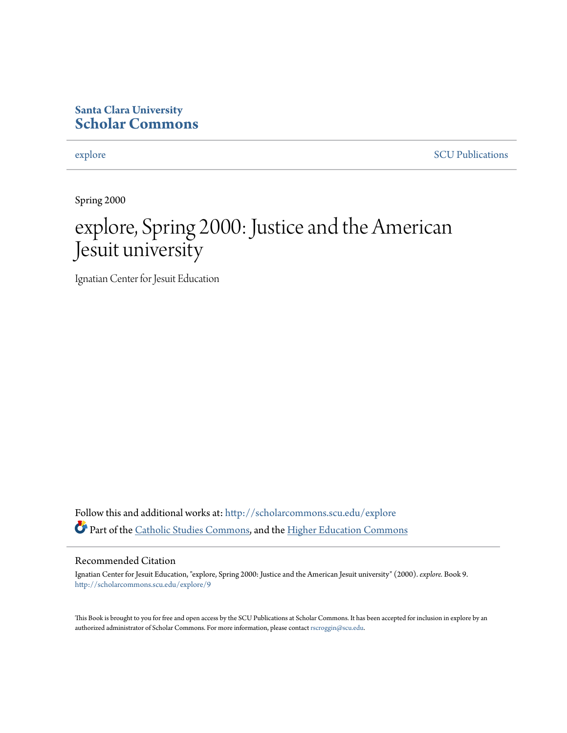#### **Santa Clara University [Scholar Commons](http://scholarcommons.scu.edu?utm_source=scholarcommons.scu.edu%2Fexplore%2F9&utm_medium=PDF&utm_campaign=PDFCoverPages)**

[explore](http://scholarcommons.scu.edu/explore?utm_source=scholarcommons.scu.edu%2Fexplore%2F9&utm_medium=PDF&utm_campaign=PDFCoverPages) [SCU Publications](http://scholarcommons.scu.edu/scu_pubs?utm_source=scholarcommons.scu.edu%2Fexplore%2F9&utm_medium=PDF&utm_campaign=PDFCoverPages)

Spring 2000

# explore, Spring 2000: Justice and the American Jesuit university

Ignatian Center for Jesuit Education

Follow this and additional works at: [http://scholarcommons.scu.edu/explore](http://scholarcommons.scu.edu/explore?utm_source=scholarcommons.scu.edu%2Fexplore%2F9&utm_medium=PDF&utm_campaign=PDFCoverPages) Part of the [Catholic Studies Commons,](http://network.bepress.com/hgg/discipline/1294?utm_source=scholarcommons.scu.edu%2Fexplore%2F9&utm_medium=PDF&utm_campaign=PDFCoverPages) and the [Higher Education Commons](http://network.bepress.com/hgg/discipline/1245?utm_source=scholarcommons.scu.edu%2Fexplore%2F9&utm_medium=PDF&utm_campaign=PDFCoverPages)

#### Recommended Citation

Ignatian Center for Jesuit Education, "explore, Spring 2000: Justice and the American Jesuit university" (2000). *explore.* Book 9. [http://scholarcommons.scu.edu/explore/9](http://scholarcommons.scu.edu/explore/9?utm_source=scholarcommons.scu.edu%2Fexplore%2F9&utm_medium=PDF&utm_campaign=PDFCoverPages)

This Book is brought to you for free and open access by the SCU Publications at Scholar Commons. It has been accepted for inclusion in explore by an authorized administrator of Scholar Commons. For more information, please contact [rscroggin@scu.edu.](mailto:rscroggin@scu.edu)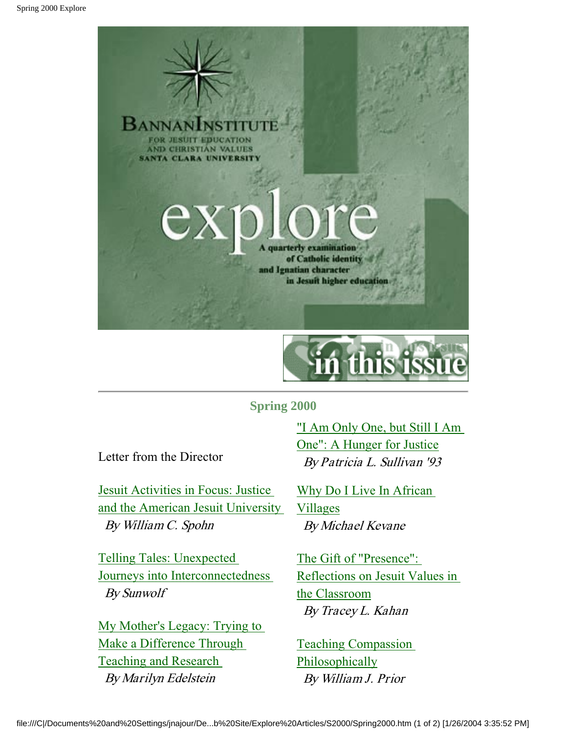



#### **Spring 2000**

Letter from the Director

Jesuit Activities in Focus: Justice and the American Jesuit University By William C. Spohn

Telling Tales: Unexpected Journeys into Interconnectedness By Sunwolf

My Mother's Legacy: Trying to Make a Difference Through Teaching and Research By Marilyn Edelstein

"I Am Only One, but Still I Am One": A Hunger for Justice By Patricia L. Sullivan '93

Why Do I Live In African Villages By Michael Kevane

The Gift of "Presence": Reflections on Jesuit Values in the Classroom By Tracey L. Kahan

Teaching Compassion Philosophically By William J. Prior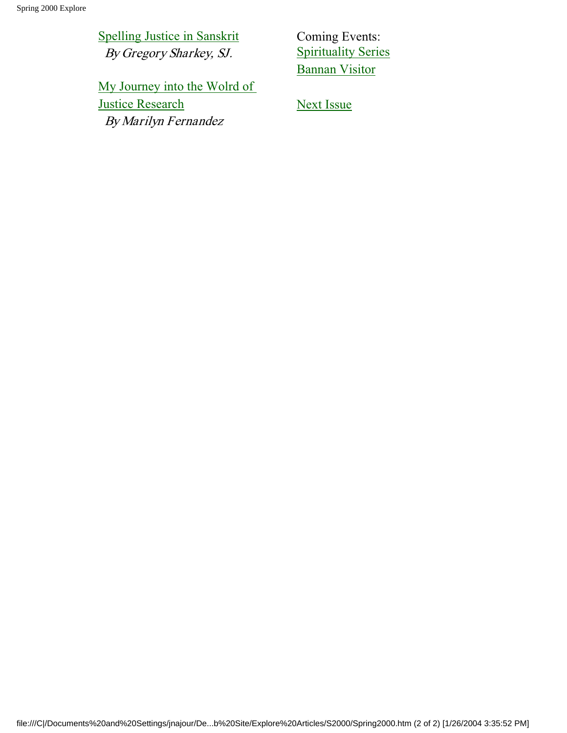Spelling Justice in Sanskrit By Gregory Sharkey, SJ.

Coming Events: Spirituality Series Bannan Visitor

My Journey into the Wolrd of **Justice Research** By Marilyn Fernandez

Next Issue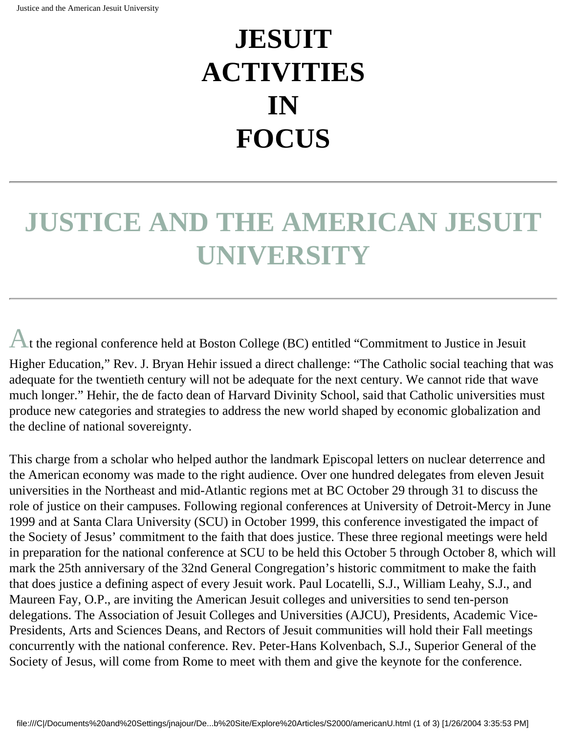# **JESUIT ACTIVITIES IN FOCUS**

# **JUSTICE AND THE AMERICAN JESUIT UNIVERSITY**

At the regional conference held at Boston College (BC) entitled "Commitment to Justice in Jesuit Higher Education," Rev. J. Bryan Hehir issued a direct challenge: "The Catholic social teaching that was adequate for the twentieth century will not be adequate for the next century. We cannot ride that wave much longer." Hehir, the de facto dean of Harvard Divinity School, said that Catholic universities must produce new categories and strategies to address the new world shaped by economic globalization and

the decline of national sovereignty.

This charge from a scholar who helped author the landmark Episcopal letters on nuclear deterrence and the American economy was made to the right audience. Over one hundred delegates from eleven Jesuit universities in the Northeast and mid-Atlantic regions met at BC October 29 through 31 to discuss the role of justice on their campuses. Following regional conferences at University of Detroit-Mercy in June 1999 and at Santa Clara University (SCU) in October 1999, this conference investigated the impact of the Society of Jesus' commitment to the faith that does justice. These three regional meetings were held in preparation for the national conference at SCU to be held this October 5 through October 8, which will mark the 25th anniversary of the 32nd General Congregation's historic commitment to make the faith that does justice a defining aspect of every Jesuit work. Paul Locatelli, S.J., William Leahy, S.J., and Maureen Fay, O.P., are inviting the American Jesuit colleges and universities to send ten-person delegations. The Association of Jesuit Colleges and Universities (AJCU), Presidents, Academic Vice-Presidents, Arts and Sciences Deans, and Rectors of Jesuit communities will hold their Fall meetings concurrently with the national conference. Rev. Peter-Hans Kolvenbach, S.J., Superior General of the Society of Jesus, will come from Rome to meet with them and give the keynote for the conference.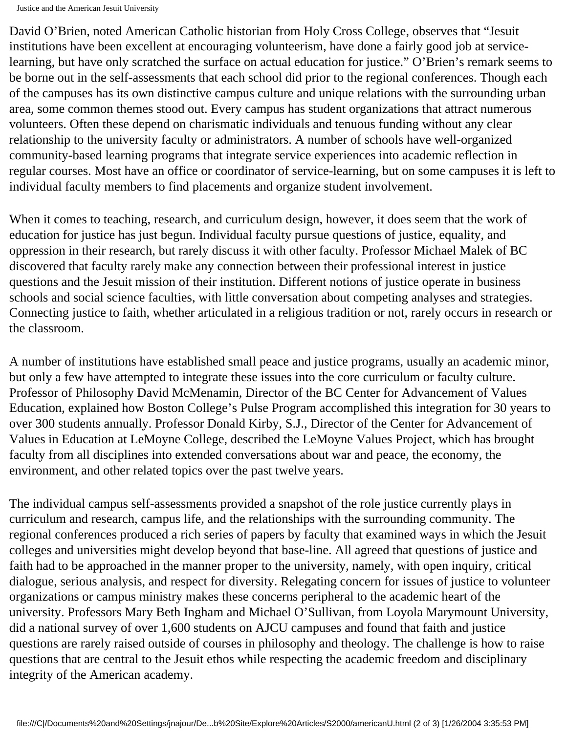David O'Brien, noted American Catholic historian from Holy Cross College, observes that "Jesuit institutions have been excellent at encouraging volunteerism, have done a fairly good job at servicelearning, but have only scratched the surface on actual education for justice." O'Brien's remark seems to be borne out in the self-assessments that each school did prior to the regional conferences. Though each of the campuses has its own distinctive campus culture and unique relations with the surrounding urban area, some common themes stood out. Every campus has student organizations that attract numerous volunteers. Often these depend on charismatic individuals and tenuous funding without any clear relationship to the university faculty or administrators. A number of schools have well-organized community-based learning programs that integrate service experiences into academic reflection in regular courses. Most have an office or coordinator of service-learning, but on some campuses it is left to individual faculty members to find placements and organize student involvement.

When it comes to teaching, research, and curriculum design, however, it does seem that the work of education for justice has just begun. Individual faculty pursue questions of justice, equality, and oppression in their research, but rarely discuss it with other faculty. Professor Michael Malek of BC discovered that faculty rarely make any connection between their professional interest in justice questions and the Jesuit mission of their institution. Different notions of justice operate in business schools and social science faculties, with little conversation about competing analyses and strategies. Connecting justice to faith, whether articulated in a religious tradition or not, rarely occurs in research or the classroom.

A number of institutions have established small peace and justice programs, usually an academic minor, but only a few have attempted to integrate these issues into the core curriculum or faculty culture. Professor of Philosophy David McMenamin, Director of the BC Center for Advancement of Values Education, explained how Boston College's Pulse Program accomplished this integration for 30 years to over 300 students annually. Professor Donald Kirby, S.J., Director of the Center for Advancement of Values in Education at LeMoyne College, described the LeMoyne Values Project, which has brought faculty from all disciplines into extended conversations about war and peace, the economy, the environment, and other related topics over the past twelve years.

The individual campus self-assessments provided a snapshot of the role justice currently plays in curriculum and research, campus life, and the relationships with the surrounding community. The regional conferences produced a rich series of papers by faculty that examined ways in which the Jesuit colleges and universities might develop beyond that base-line. All agreed that questions of justice and faith had to be approached in the manner proper to the university, namely, with open inquiry, critical dialogue, serious analysis, and respect for diversity. Relegating concern for issues of justice to volunteer organizations or campus ministry makes these concerns peripheral to the academic heart of the university. Professors Mary Beth Ingham and Michael O'Sullivan, from Loyola Marymount University, did a national survey of over 1,600 students on AJCU campuses and found that faith and justice questions are rarely raised outside of courses in philosophy and theology. The challenge is how to raise questions that are central to the Jesuit ethos while respecting the academic freedom and disciplinary integrity of the American academy.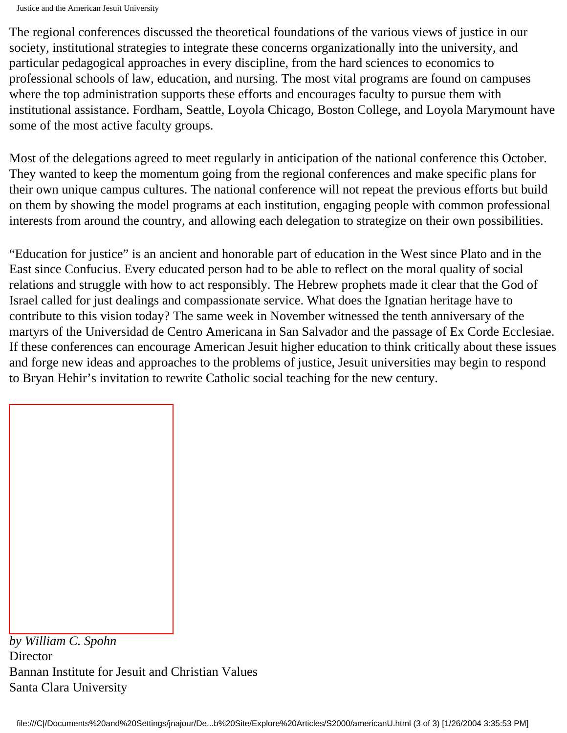The regional conferences discussed the theoretical foundations of the various views of justice in our society, institutional strategies to integrate these concerns organizationally into the university, and particular pedagogical approaches in every discipline, from the hard sciences to economics to professional schools of law, education, and nursing. The most vital programs are found on campuses where the top administration supports these efforts and encourages faculty to pursue them with institutional assistance. Fordham, Seattle, Loyola Chicago, Boston College, and Loyola Marymount have some of the most active faculty groups.

Most of the delegations agreed to meet regularly in anticipation of the national conference this October. They wanted to keep the momentum going from the regional conferences and make specific plans for their own unique campus cultures. The national conference will not repeat the previous efforts but build on them by showing the model programs at each institution, engaging people with common professional interests from around the country, and allowing each delegation to strategize on their own possibilities.

"Education for justice" is an ancient and honorable part of education in the West since Plato and in the East since Confucius. Every educated person had to be able to reflect on the moral quality of social relations and struggle with how to act responsibly. The Hebrew prophets made it clear that the God of Israel called for just dealings and compassionate service. What does the Ignatian heritage have to contribute to this vision today? The same week in November witnessed the tenth anniversary of the martyrs of the Universidad de Centro Americana in San Salvador and the passage of Ex Corde Ecclesiae. If these conferences can encourage American Jesuit higher education to think critically about these issues and forge new ideas and approaches to the problems of justice, Jesuit universities may begin to respond to Bryan Hehir's invitation to rewrite Catholic social teaching for the new century.

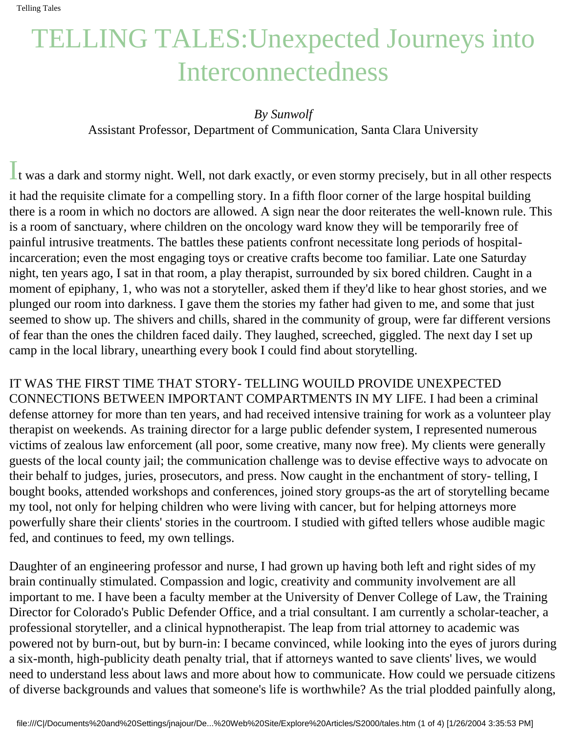# TELLING TALES:Unexpected Journeys into Interconnectedness

#### *By Sunwolf*

Assistant Professor, Department of Communication, Santa Clara University

It was a dark and stormy night. Well, not dark exactly, or even stormy precisely, but in all other respects it had the requisite climate for a compelling story. In a fifth floor corner of the large hospital building there is a room in which no doctors are allowed. A sign near the door reiterates the well-known rule. This is a room of sanctuary, where children on the oncology ward know they will be temporarily free of painful intrusive treatments. The battles these patients confront necessitate long periods of hospitalincarceration; even the most engaging toys or creative crafts become too familiar. Late one Saturday night, ten years ago, I sat in that room, a play therapist, surrounded by six bored children. Caught in a moment of epiphany, 1, who was not a storyteller, asked them if they'd like to hear ghost stories, and we plunged our room into darkness. I gave them the stories my father had given to me, and some that just seemed to show up. The shivers and chills, shared in the community of group, were far different versions of fear than the ones the children faced daily. They laughed, screeched, giggled. The next day I set up camp in the local library, unearthing every book I could find about storytelling.

IT WAS THE FIRST TIME THAT STORY- TELLING WOUILD PROVIDE UNEXPECTED CONNECTIONS BETWEEN IMPORTANT COMPARTMENTS IN MY LIFE. I had been a criminal defense attorney for more than ten years, and had received intensive training for work as a volunteer play therapist on weekends. As training director for a large public defender system, I represented numerous victims of zealous law enforcement (all poor, some creative, many now free). My clients were generally guests of the local county jail; the communication challenge was to devise effective ways to advocate on their behalf to judges, juries, prosecutors, and press. Now caught in the enchantment of story- telling, I bought books, attended workshops and conferences, joined story groups-as the art of storytelling became my tool, not only for helping children who were living with cancer, but for helping attorneys more powerfully share their clients' stories in the courtroom. I studied with gifted tellers whose audible magic fed, and continues to feed, my own tellings.

Daughter of an engineering professor and nurse, I had grown up having both left and right sides of my brain continually stimulated. Compassion and logic, creativity and community involvement are all important to me. I have been a faculty member at the University of Denver College of Law, the Training Director for Colorado's Public Defender Office, and a trial consultant. I am currently a scholar-teacher, a professional storyteller, and a clinical hypnotherapist. The leap from trial attorney to academic was powered not by burn-out, but by burn-in: I became convinced, while looking into the eyes of jurors during a six-month, high-publicity death penalty trial, that if attorneys wanted to save clients' lives, we would need to understand less about laws and more about how to communicate. How could we persuade citizens of diverse backgrounds and values that someone's life is worthwhile? As the trial plodded painfully along,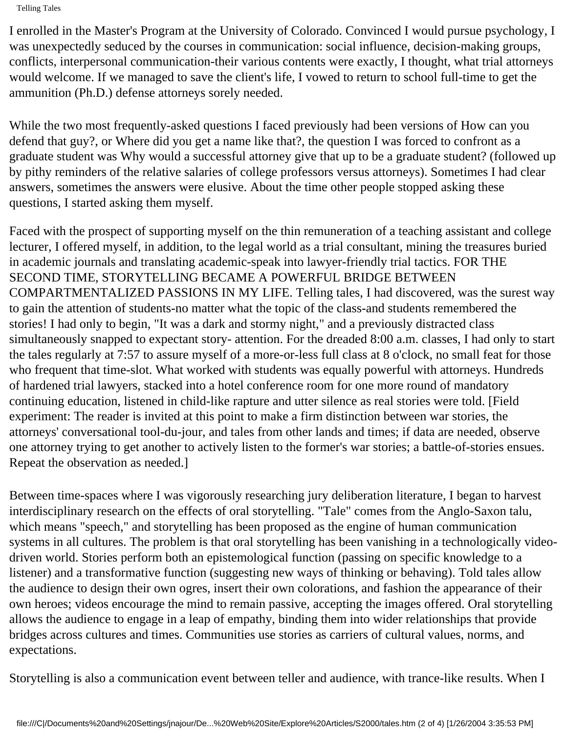I enrolled in the Master's Program at the University of Colorado. Convinced I would pursue psychology, I was unexpectedly seduced by the courses in communication: social influence, decision-making groups, conflicts, interpersonal communication-their various contents were exactly, I thought, what trial attorneys would welcome. If we managed to save the client's life, I vowed to return to school full-time to get the ammunition (Ph.D.) defense attorneys sorely needed.

While the two most frequently-asked questions I faced previously had been versions of How can you defend that guy?, or Where did you get a name like that?, the question I was forced to confront as a graduate student was Why would a successful attorney give that up to be a graduate student? (followed up by pithy reminders of the relative salaries of college professors versus attorneys). Sometimes I had clear answers, sometimes the answers were elusive. About the time other people stopped asking these questions, I started asking them myself.

Faced with the prospect of supporting myself on the thin remuneration of a teaching assistant and college lecturer, I offered myself, in addition, to the legal world as a trial consultant, mining the treasures buried in academic journals and translating academic-speak into lawyer-friendly trial tactics. FOR THE SECOND TIME, STORYTELLING BECAME A POWERFUL BRIDGE BETWEEN COMPARTMENTALIZED PASSIONS IN MY LIFE. Telling tales, I had discovered, was the surest way to gain the attention of students-no matter what the topic of the class-and students remembered the stories! I had only to begin, "It was a dark and stormy night," and a previously distracted class simultaneously snapped to expectant story- attention. For the dreaded 8:00 a.m. classes, I had only to start the tales regularly at 7:57 to assure myself of a more-or-less full class at 8 o'clock, no small feat for those who frequent that time-slot. What worked with students was equally powerful with attorneys. Hundreds of hardened trial lawyers, stacked into a hotel conference room for one more round of mandatory continuing education, listened in child-like rapture and utter silence as real stories were told. [Field experiment: The reader is invited at this point to make a firm distinction between war stories, the attorneys' conversational tool-du-jour, and tales from other lands and times; if data are needed, observe one attorney trying to get another to actively listen to the former's war stories; a battle-of-stories ensues. Repeat the observation as needed.]

Between time-spaces where I was vigorously researching jury deliberation literature, I began to harvest interdisciplinary research on the effects of oral storytelling. "Tale" comes from the Anglo-Saxon talu, which means "speech," and storytelling has been proposed as the engine of human communication systems in all cultures. The problem is that oral storytelling has been vanishing in a technologically videodriven world. Stories perform both an epistemological function (passing on specific knowledge to a listener) and a transformative function (suggesting new ways of thinking or behaving). Told tales allow the audience to design their own ogres, insert their own colorations, and fashion the appearance of their own heroes; videos encourage the mind to remain passive, accepting the images offered. Oral storytelling allows the audience to engage in a leap of empathy, binding them into wider relationships that provide bridges across cultures and times. Communities use stories as carriers of cultural values, norms, and expectations.

Storytelling is also a communication event between teller and audience, with trance-like results. When I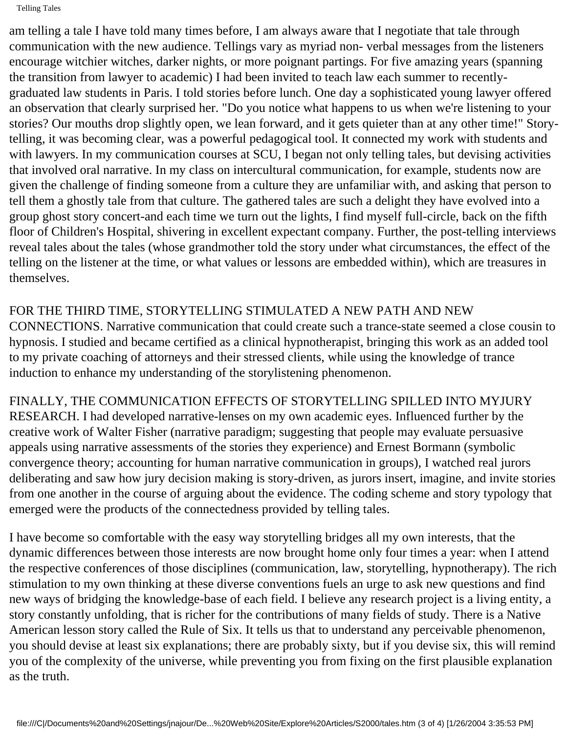am telling a tale I have told many times before, I am always aware that I negotiate that tale through communication with the new audience. Tellings vary as myriad non- verbal messages from the listeners encourage witchier witches, darker nights, or more poignant partings. For five amazing years (spanning the transition from lawyer to academic) I had been invited to teach law each summer to recentlygraduated law students in Paris. I told stories before lunch. One day a sophisticated young lawyer offered an observation that clearly surprised her. "Do you notice what happens to us when we're listening to your stories? Our mouths drop slightly open, we lean forward, and it gets quieter than at any other time!" Storytelling, it was becoming clear, was a powerful pedagogical tool. It connected my work with students and with lawyers. In my communication courses at SCU, I began not only telling tales, but devising activities that involved oral narrative. In my class on intercultural communication, for example, students now are given the challenge of finding someone from a culture they are unfamiliar with, and asking that person to tell them a ghostly tale from that culture. The gathered tales are such a delight they have evolved into a group ghost story concert-and each time we turn out the lights, I find myself full-circle, back on the fifth floor of Children's Hospital, shivering in excellent expectant company. Further, the post-telling interviews reveal tales about the tales (whose grandmother told the story under what circumstances, the effect of the telling on the listener at the time, or what values or lessons are embedded within), which are treasures in themselves.

### FOR THE THIRD TIME, STORYTELLING STIMULATED A NEW PATH AND NEW

CONNECTIONS. Narrative communication that could create such a trance-state seemed a close cousin to hypnosis. I studied and became certified as a clinical hypnotherapist, bringing this work as an added tool to my private coaching of attorneys and their stressed clients, while using the knowledge of trance induction to enhance my understanding of the storylistening phenomenon.

FINALLY, THE COMMUNICATION EFFECTS OF STORYTELLING SPILLED INTO MYJURY RESEARCH. I had developed narrative-lenses on my own academic eyes. Influenced further by the creative work of Walter Fisher (narrative paradigm; suggesting that people may evaluate persuasive appeals using narrative assessments of the stories they experience) and Ernest Bormann (symbolic convergence theory; accounting for human narrative communication in groups), I watched real jurors deliberating and saw how jury decision making is story-driven, as jurors insert, imagine, and invite stories from one another in the course of arguing about the evidence. The coding scheme and story typology that emerged were the products of the connectedness provided by telling tales.

I have become so comfortable with the easy way storytelling bridges all my own interests, that the dynamic differences between those interests are now brought home only four times a year: when I attend the respective conferences of those disciplines (communication, law, storytelling, hypnotherapy). The rich stimulation to my own thinking at these diverse conventions fuels an urge to ask new questions and find new ways of bridging the knowledge-base of each field. I believe any research project is a living entity, a story constantly unfolding, that is richer for the contributions of many fields of study. There is a Native American lesson story called the Rule of Six. It tells us that to understand any perceivable phenomenon, you should devise at least six explanations; there are probably sixty, but if you devise six, this will remind you of the complexity of the universe, while preventing you from fixing on the first plausible explanation as the truth.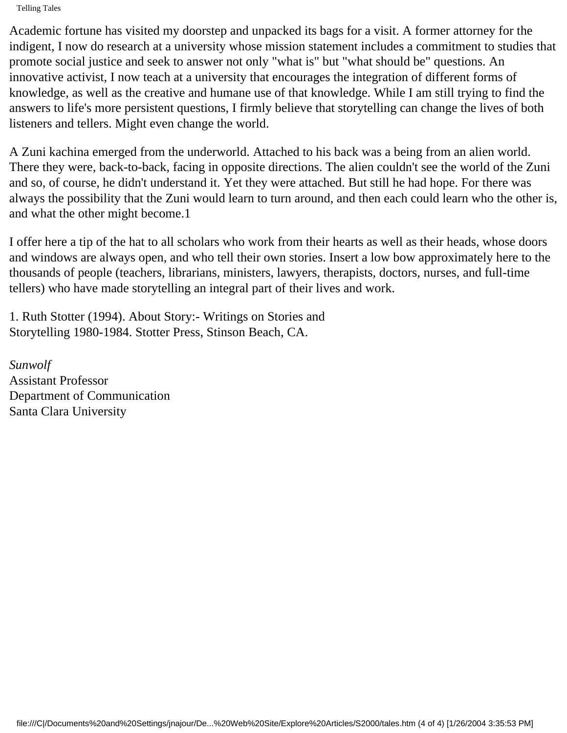Academic fortune has visited my doorstep and unpacked its bags for a visit. A former attorney for the indigent, I now do research at a university whose mission statement includes a commitment to studies that promote social justice and seek to answer not only "what is" but "what should be" questions. An innovative activist, I now teach at a university that encourages the integration of different forms of knowledge, as well as the creative and humane use of that knowledge. While I am still trying to find the answers to life's more persistent questions, I firmly believe that storytelling can change the lives of both listeners and tellers. Might even change the world.

A Zuni kachina emerged from the underworld. Attached to his back was a being from an alien world. There they were, back-to-back, facing in opposite directions. The alien couldn't see the world of the Zuni and so, of course, he didn't understand it. Yet they were attached. But still he had hope. For there was always the possibility that the Zuni would learn to turn around, and then each could learn who the other is, and what the other might become.1

I offer here a tip of the hat to all scholars who work from their hearts as well as their heads, whose doors and windows are always open, and who tell their own stories. Insert a low bow approximately here to the thousands of people (teachers, librarians, ministers, lawyers, therapists, doctors, nurses, and full-time tellers) who have made storytelling an integral part of their lives and work.

1. Ruth Stotter (1994). About Story:- Writings on Stories and Storytelling 1980-1984. Stotter Press, Stinson Beach, CA.

*Sunwolf* Assistant Professor Department of Communication Santa Clara University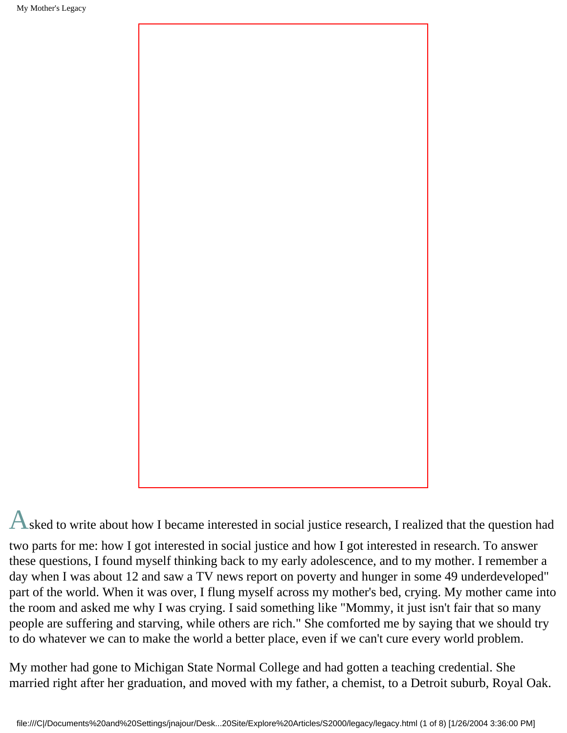

Asked to write about how I became interested in social justice research, I realized that the question had two parts for me: how I got interested in social justice and how I got interested in research. To answer these questions, I found myself thinking back to my early adolescence, and to my mother. I remember a day when I was about 12 and saw a TV news report on poverty and hunger in some 49 underdeveloped" part of the world. When it was over, I flung myself across my mother's bed, crying. My mother came into the room and asked me why I was crying. I said something like "Mommy, it just isn't fair that so many people are suffering and starving, while others are rich." She comforted me by saying that we should try to do whatever we can to make the world a better place, even if we can't cure every world problem.

My mother had gone to Michigan State Normal College and had gotten a teaching credential. She married right after her graduation, and moved with my father, a chemist, to a Detroit suburb, Royal Oak.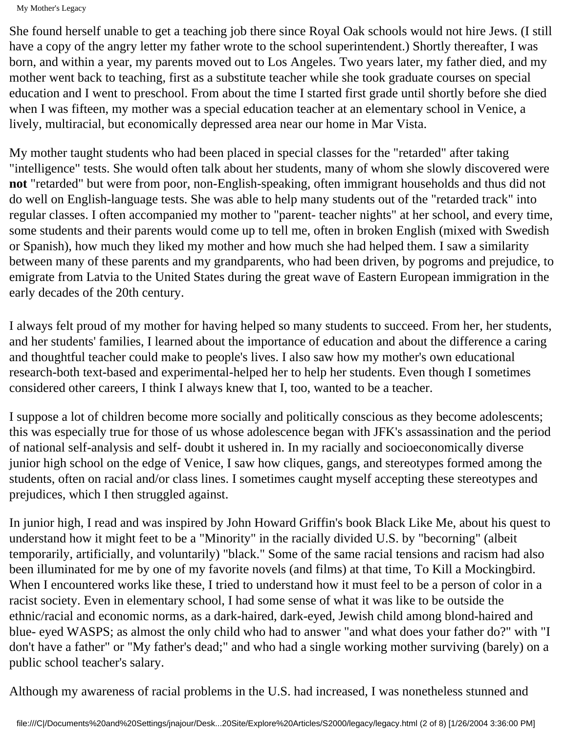She found herself unable to get a teaching job there since Royal Oak schools would not hire Jews. (I still have a copy of the angry letter my father wrote to the school superintendent.) Shortly thereafter, I was born, and within a year, my parents moved out to Los Angeles. Two years later, my father died, and my mother went back to teaching, first as a substitute teacher while she took graduate courses on special education and I went to preschool. From about the time I started first grade until shortly before she died when I was fifteen, my mother was a special education teacher at an elementary school in Venice, a lively, multiracial, but economically depressed area near our home in Mar Vista.

My mother taught students who had been placed in special classes for the "retarded" after taking "intelligence" tests. She would often talk about her students, many of whom she slowly discovered were **not** "retarded" but were from poor, non-English-speaking, often immigrant households and thus did not do well on English-language tests. She was able to help many students out of the "retarded track" into regular classes. I often accompanied my mother to "parent- teacher nights" at her school, and every time, some students and their parents would come up to tell me, often in broken English (mixed with Swedish or Spanish), how much they liked my mother and how much she had helped them. I saw a similarity between many of these parents and my grandparents, who had been driven, by pogroms and prejudice, to emigrate from Latvia to the United States during the great wave of Eastern European immigration in the early decades of the 20th century.

I always felt proud of my mother for having helped so many students to succeed. From her, her students, and her students' families, I learned about the importance of education and about the difference a caring and thoughtful teacher could make to people's lives. I also saw how my mother's own educational research-both text-based and experimental-helped her to help her students. Even though I sometimes considered other careers, I think I always knew that I, too, wanted to be a teacher.

I suppose a lot of children become more socially and politically conscious as they become adolescents; this was especially true for those of us whose adolescence began with JFK's assassination and the period of national self-analysis and self- doubt it ushered in. In my racially and socioeconomically diverse junior high school on the edge of Venice, I saw how cliques, gangs, and stereotypes formed among the students, often on racial and/or class lines. I sometimes caught myself accepting these stereotypes and prejudices, which I then struggled against.

In junior high, I read and was inspired by John Howard Griffin's book Black Like Me, about his quest to understand how it might feet to be a "Minority" in the racially divided U.S. by "becorning" (albeit temporarily, artificially, and voluntarily) "black." Some of the same racial tensions and racism had also been illuminated for me by one of my favorite novels (and films) at that time, To Kill a Mockingbird. When I encountered works like these, I tried to understand how it must feel to be a person of color in a racist society. Even in elementary school, I had some sense of what it was like to be outside the ethnic/racial and economic norms, as a dark-haired, dark-eyed, Jewish child among blond-haired and blue- eyed WASPS; as almost the only child who had to answer "and what does your father do?" with "I don't have a father" or "My father's dead;" and who had a single working mother surviving (barely) on a public school teacher's salary.

Although my awareness of racial problems in the U.S. had increased, I was nonetheless stunned and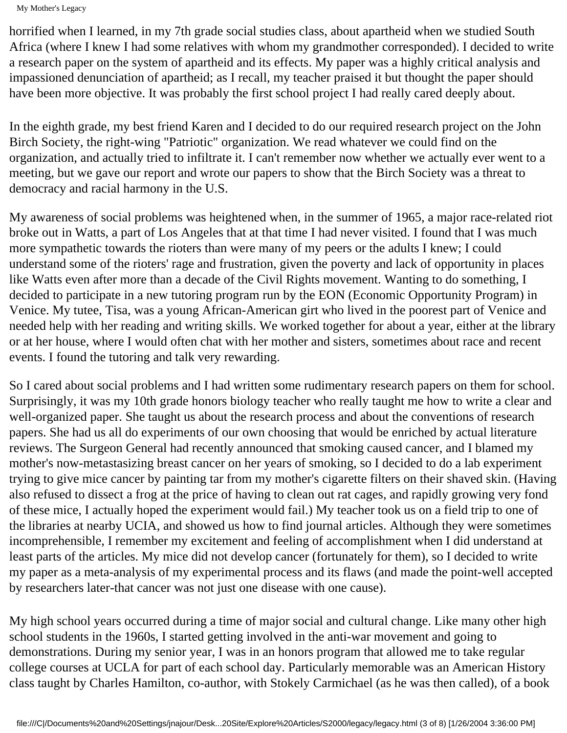horrified when I learned, in my 7th grade social studies class, about apartheid when we studied South Africa (where I knew I had some relatives with whom my grandmother corresponded). I decided to write a research paper on the system of apartheid and its effects. My paper was a highly critical analysis and impassioned denunciation of apartheid; as I recall, my teacher praised it but thought the paper should have been more objective. It was probably the first school project I had really cared deeply about.

In the eighth grade, my best friend Karen and I decided to do our required research project on the John Birch Society, the right-wing "Patriotic" organization. We read whatever we could find on the organization, and actually tried to infiltrate it. I can't remember now whether we actually ever went to a meeting, but we gave our report and wrote our papers to show that the Birch Society was a threat to democracy and racial harmony in the U.S.

My awareness of social problems was heightened when, in the summer of 1965, a major race-related riot broke out in Watts, a part of Los Angeles that at that time I had never visited. I found that I was much more sympathetic towards the rioters than were many of my peers or the adults I knew; I could understand some of the rioters' rage and frustration, given the poverty and lack of opportunity in places like Watts even after more than a decade of the Civil Rights movement. Wanting to do something, I decided to participate in a new tutoring program run by the EON (Economic Opportunity Program) in Venice. My tutee, Tisa, was a young African-American girt who lived in the poorest part of Venice and needed help with her reading and writing skills. We worked together for about a year, either at the library or at her house, where I would often chat with her mother and sisters, sometimes about race and recent events. I found the tutoring and talk very rewarding.

So I cared about social problems and I had written some rudimentary research papers on them for school. Surprisingly, it was my 10th grade honors biology teacher who really taught me how to write a clear and well-organized paper. She taught us about the research process and about the conventions of research papers. She had us all do experiments of our own choosing that would be enriched by actual literature reviews. The Surgeon General had recently announced that smoking caused cancer, and I blamed my mother's now-metastasizing breast cancer on her years of smoking, so I decided to do a lab experiment trying to give mice cancer by painting tar from my mother's cigarette filters on their shaved skin. (Having also refused to dissect a frog at the price of having to clean out rat cages, and rapidly growing very fond of these mice, I actually hoped the experiment would fail.) My teacher took us on a field trip to one of the libraries at nearby UCIA, and showed us how to find journal articles. Although they were sometimes incomprehensible, I remember my excitement and feeling of accomplishment when I did understand at least parts of the articles. My mice did not develop cancer (fortunately for them), so I decided to write my paper as a meta-analysis of my experimental process and its flaws (and made the point-well accepted by researchers later-that cancer was not just one disease with one cause).

My high school years occurred during a time of major social and cultural change. Like many other high school students in the 1960s, I started getting involved in the anti-war movement and going to demonstrations. During my senior year, I was in an honors program that allowed me to take regular college courses at UCLA for part of each school day. Particularly memorable was an American History class taught by Charles Hamilton, co-author, with Stokely Carmichael (as he was then called), of a book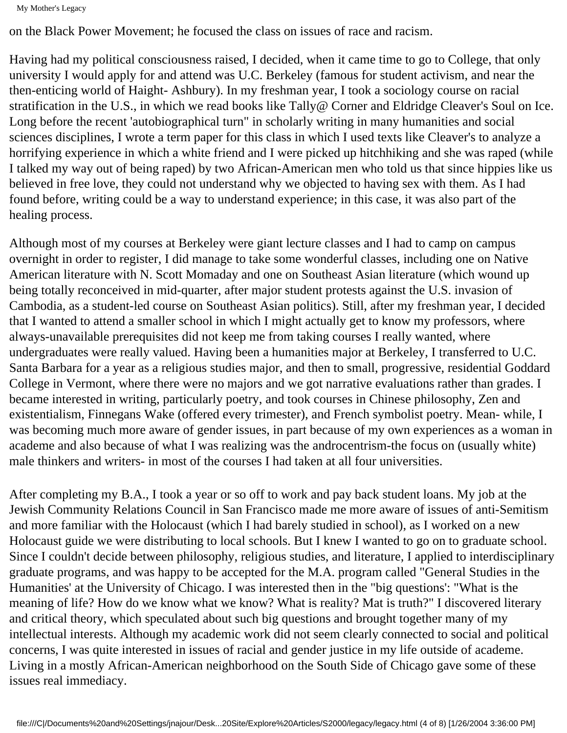on the Black Power Movement; he focused the class on issues of race and racism.

Having had my political consciousness raised, I decided, when it came time to go to College, that only university I would apply for and attend was U.C. Berkeley (famous for student activism, and near the then-enticing world of Haight- Ashbury). In my freshman year, I took a sociology course on racial stratification in the U.S., in which we read books like Tally@ Corner and Eldridge Cleaver's Soul on Ice. Long before the recent 'autobiographical turn" in scholarly writing in many humanities and social sciences disciplines, I wrote a term paper for this class in which I used texts like Cleaver's to analyze a horrifying experience in which a white friend and I were picked up hitchhiking and she was raped (while I talked my way out of being raped) by two African-American men who told us that since hippies like us believed in free love, they could not understand why we objected to having sex with them. As I had found before, writing could be a way to understand experience; in this case, it was also part of the healing process.

Although most of my courses at Berkeley were giant lecture classes and I had to camp on campus overnight in order to register, I did manage to take some wonderful classes, including one on Native American literature with N. Scott Momaday and one on Southeast Asian literature (which wound up being totally reconceived in mid-quarter, after major student protests against the U.S. invasion of Cambodia, as a student-led course on Southeast Asian politics). Still, after my freshman year, I decided that I wanted to attend a smaller school in which I might actually get to know my professors, where always-unavailable prerequisites did not keep me from taking courses I really wanted, where undergraduates were really valued. Having been a humanities major at Berkeley, I transferred to U.C. Santa Barbara for a year as a religious studies major, and then to small, progressive, residential Goddard College in Vermont, where there were no majors and we got narrative evaluations rather than grades. I became interested in writing, particularly poetry, and took courses in Chinese philosophy, Zen and existentialism, Finnegans Wake (offered every trimester), and French symbolist poetry. Mean- while, I was becoming much more aware of gender issues, in part because of my own experiences as a woman in academe and also because of what I was realizing was the androcentrism-the focus on (usually white) male thinkers and writers- in most of the courses I had taken at all four universities.

After completing my B.A., I took a year or so off to work and pay back student loans. My job at the Jewish Community Relations Council in San Francisco made me more aware of issues of anti-Semitism and more familiar with the Holocaust (which I had barely studied in school), as I worked on a new Holocaust guide we were distributing to local schools. But I knew I wanted to go on to graduate school. Since I couldn't decide between philosophy, religious studies, and literature, I applied to interdisciplinary graduate programs, and was happy to be accepted for the M.A. program called "General Studies in the Humanities' at the University of Chicago. I was interested then in the "big questions': "What is the meaning of life? How do we know what we know? What is reality? Mat is truth?" I discovered literary and critical theory, which speculated about such big questions and brought together many of my intellectual interests. Although my academic work did not seem clearly connected to social and political concerns, I was quite interested in issues of racial and gender justice in my life outside of academe. Living in a mostly African-American neighborhood on the South Side of Chicago gave some of these issues real immediacy.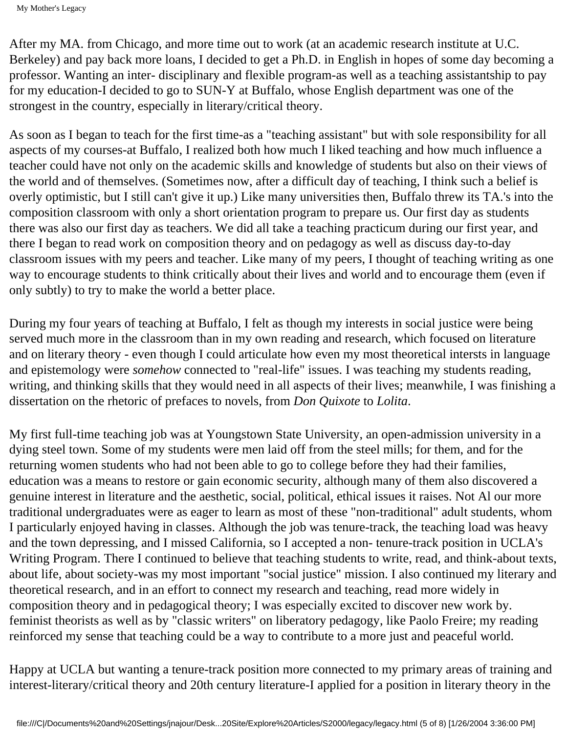After my MA. from Chicago, and more time out to work (at an academic research institute at U.C. Berkeley) and pay back more loans, I decided to get a Ph.D. in English in hopes of some day becoming a professor. Wanting an inter- disciplinary and flexible program-as well as a teaching assistantship to pay for my education-I decided to go to SUN-Y at Buffalo, whose English department was one of the strongest in the country, especially in literary/critical theory.

As soon as I began to teach for the first time-as a "teaching assistant" but with sole responsibility for all aspects of my courses-at Buffalo, I realized both how much I liked teaching and how much influence a teacher could have not only on the academic skills and knowledge of students but also on their views of the world and of themselves. (Sometimes now, after a difficult day of teaching, I think such a belief is overly optimistic, but I still can't give it up.) Like many universities then, Buffalo threw its TA.'s into the composition classroom with only a short orientation program to prepare us. Our first day as students there was also our first day as teachers. We did all take a teaching practicum during our first year, and there I began to read work on composition theory and on pedagogy as well as discuss day-to-day classroom issues with my peers and teacher. Like many of my peers, I thought of teaching writing as one way to encourage students to think critically about their lives and world and to encourage them (even if only subtly) to try to make the world a better place.

During my four years of teaching at Buffalo, I felt as though my interests in social justice were being served much more in the classroom than in my own reading and research, which focused on literature and on literary theory - even though I could articulate how even my most theoretical intersts in language and epistemology were *somehow* connected to "real-life" issues. I was teaching my students reading, writing, and thinking skills that they would need in all aspects of their lives; meanwhile, I was finishing a dissertation on the rhetoric of prefaces to novels, from *Don Quixote* to *Lolita*.

My first full-time teaching job was at Youngstown State University, an open-admission university in a dying steel town. Some of my students were men laid off from the steel mills; for them, and for the returning women students who had not been able to go to college before they had their families, education was a means to restore or gain economic security, although many of them also discovered a genuine interest in literature and the aesthetic, social, political, ethical issues it raises. Not Al our more traditional undergraduates were as eager to learn as most of these "non-traditional" adult students, whom I particularly enjoyed having in classes. Although the job was tenure-track, the teaching load was heavy and the town depressing, and I missed California, so I accepted a non- tenure-track position in UCLA's Writing Program. There I continued to believe that teaching students to write, read, and think-about texts, about life, about society-was my most important "social justice" mission. I also continued my literary and theoretical research, and in an effort to connect my research and teaching, read more widely in composition theory and in pedagogical theory; I was especially excited to discover new work by. feminist theorists as well as by "classic writers" on liberatory pedagogy, like Paolo Freire; my reading reinforced my sense that teaching could be a way to contribute to a more just and peaceful world.

Happy at UCLA but wanting a tenure-track position more connected to my primary areas of training and interest-literary/critical theory and 20th century literature-I applied for a position in literary theory in the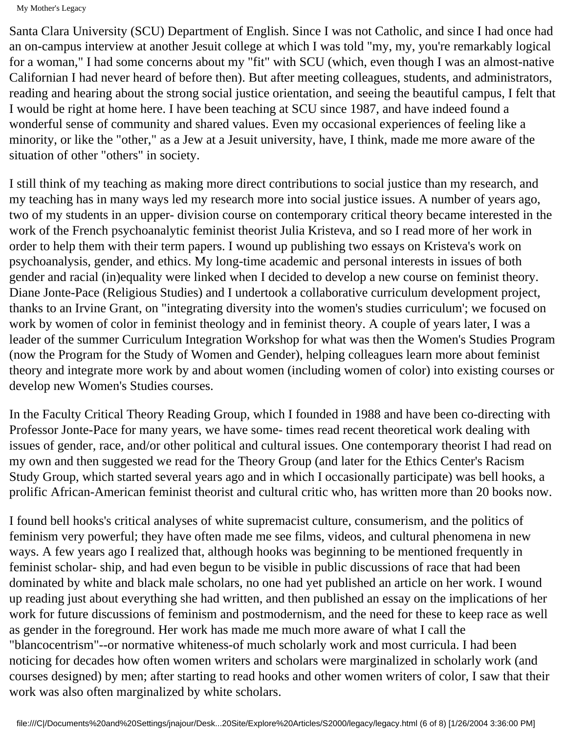Santa Clara University (SCU) Department of English. Since I was not Catholic, and since I had once had an on-campus interview at another Jesuit college at which I was told "my, my, you're remarkably logical for a woman," I had some concerns about my "fit" with SCU (which, even though I was an almost-native Californian I had never heard of before then). But after meeting colleagues, students, and administrators, reading and hearing about the strong social justice orientation, and seeing the beautiful campus, I felt that I would be right at home here. I have been teaching at SCU since 1987, and have indeed found a wonderful sense of community and shared values. Even my occasional experiences of feeling like a minority, or like the "other," as a Jew at a Jesuit university, have, I think, made me more aware of the situation of other "others" in society.

I still think of my teaching as making more direct contributions to social justice than my research, and my teaching has in many ways led my research more into social justice issues. A number of years ago, two of my students in an upper- division course on contemporary critical theory became interested in the work of the French psychoanalytic feminist theorist Julia Kristeva, and so I read more of her work in order to help them with their term papers. I wound up publishing two essays on Kristeva's work on psychoanalysis, gender, and ethics. My long-time academic and personal interests in issues of both gender and racial (in)equality were linked when I decided to develop a new course on feminist theory. Diane Jonte-Pace (Religious Studies) and I undertook a collaborative curriculum development project, thanks to an Irvine Grant, on "integrating diversity into the women's studies curriculum'; we focused on work by women of color in feminist theology and in feminist theory. A couple of years later, I was a leader of the summer Curriculum Integration Workshop for what was then the Women's Studies Program (now the Program for the Study of Women and Gender), helping colleagues learn more about feminist theory and integrate more work by and about women (including women of color) into existing courses or develop new Women's Studies courses.

In the Faculty Critical Theory Reading Group, which I founded in 1988 and have been co-directing with Professor Jonte-Pace for many years, we have some- times read recent theoretical work dealing with issues of gender, race, and/or other political and cultural issues. One contemporary theorist I had read on my own and then suggested we read for the Theory Group (and later for the Ethics Center's Racism Study Group, which started several years ago and in which I occasionally participate) was bell hooks, a prolific African-American feminist theorist and cultural critic who, has written more than 20 books now.

I found bell hooks's critical analyses of white supremacist culture, consumerism, and the politics of feminism very powerful; they have often made me see films, videos, and cultural phenomena in new ways. A few years ago I realized that, although hooks was beginning to be mentioned frequently in feminist scholar- ship, and had even begun to be visible in public discussions of race that had been dominated by white and black male scholars, no one had yet published an article on her work. I wound up reading just about everything she had written, and then published an essay on the implications of her work for future discussions of feminism and postmodernism, and the need for these to keep race as well as gender in the foreground. Her work has made me much more aware of what I call the "blancocentrism"--or normative whiteness-of much scholarly work and most curricula. I had been noticing for decades how often women writers and scholars were marginalized in scholarly work (and courses designed) by men; after starting to read hooks and other women writers of color, I saw that their work was also often marginalized by white scholars.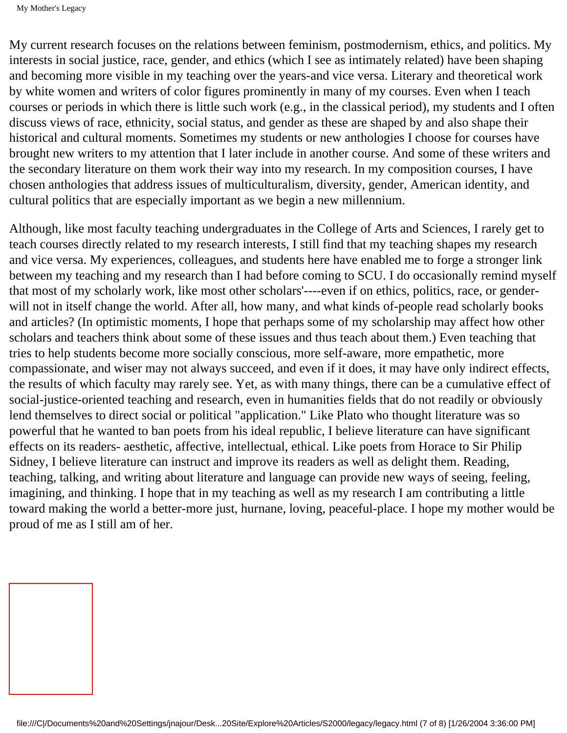My current research focuses on the relations between feminism, postmodernism, ethics, and politics. My interests in social justice, race, gender, and ethics (which I see as intimately related) have been shaping and becoming more visible in my teaching over the years-and vice versa. Literary and theoretical work by white women and writers of color figures prominently in many of my courses. Even when I teach courses or periods in which there is little such work (e.g., in the classical period), my students and I often discuss views of race, ethnicity, social status, and gender as these are shaped by and also shape their historical and cultural moments. Sometimes my students or new anthologies I choose for courses have brought new writers to my attention that I later include in another course. And some of these writers and the secondary literature on them work their way into my research. In my composition courses, I have chosen anthologies that address issues of multiculturalism, diversity, gender, American identity, and cultural politics that are especially important as we begin a new millennium.

Although, like most faculty teaching undergraduates in the College of Arts and Sciences, I rarely get to teach courses directly related to my research interests, I still find that my teaching shapes my research and vice versa. My experiences, colleagues, and students here have enabled me to forge a stronger link between my teaching and my research than I had before coming to SCU. I do occasionally remind myself that most of my scholarly work, like most other scholars'----even if on ethics, politics, race, or genderwill not in itself change the world. After all, how many, and what kinds of-people read scholarly books and articles? (In optimistic moments, I hope that perhaps some of my scholarship may affect how other scholars and teachers think about some of these issues and thus teach about them.) Even teaching that tries to help students become more socially conscious, more self-aware, more empathetic, more compassionate, and wiser may not always succeed, and even if it does, it may have only indirect effects, the results of which faculty may rarely see. Yet, as with many things, there can be a cumulative effect of social-justice-oriented teaching and research, even in humanities fields that do not readily or obviously lend themselves to direct social or political "application." Like Plato who thought literature was so powerful that he wanted to ban poets from his ideal republic, I believe literature can have significant effects on its readers- aesthetic, affective, intellectual, ethical. Like poets from Horace to Sir Philip Sidney, I believe literature can instruct and improve its readers as well as delight them. Reading, teaching, talking, and writing about literature and language can provide new ways of seeing, feeling, imagining, and thinking. I hope that in my teaching as well as my research I am contributing a little toward making the world a better-more just, hurnane, loving, peaceful-place. I hope my mother would be proud of me as I still am of her.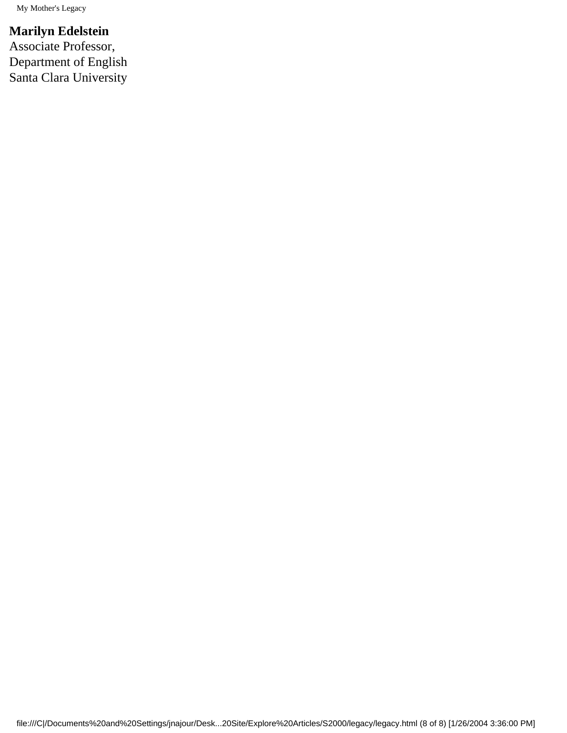### **Marilyn Edelstein**

Associate Professor, Department of English Santa Clara University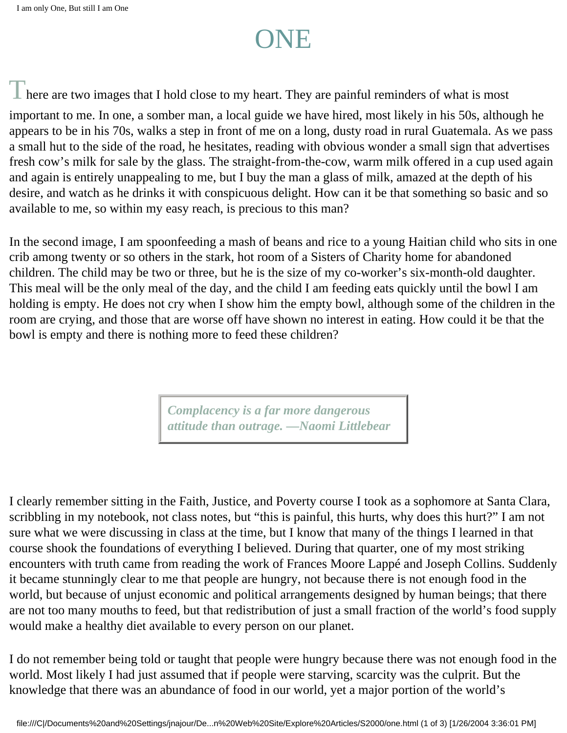# ONE

 $\mathbb T$  here are two images that I hold close to my heart. They are painful reminders of what is most

important to me. In one, a somber man, a local guide we have hired, most likely in his 50s, although he appears to be in his 70s, walks a step in front of me on a long, dusty road in rural Guatemala. As we pass a small hut to the side of the road, he hesitates, reading with obvious wonder a small sign that advertises fresh cow's milk for sale by the glass. The straight-from-the-cow, warm milk offered in a cup used again and again is entirely unappealing to me, but I buy the man a glass of milk, amazed at the depth of his desire, and watch as he drinks it with conspicuous delight. How can it be that something so basic and so available to me, so within my easy reach, is precious to this man?

In the second image, I am spoonfeeding a mash of beans and rice to a young Haitian child who sits in one crib among twenty or so others in the stark, hot room of a Sisters of Charity home for abandoned children. The child may be two or three, but he is the size of my co-worker's six-month-old daughter. This meal will be the only meal of the day, and the child I am feeding eats quickly until the bowl I am holding is empty. He does not cry when I show him the empty bowl, although some of the children in the room are crying, and those that are worse off have shown no interest in eating. How could it be that the bowl is empty and there is nothing more to feed these children?

> *Complacency is a far more dangerous attitude than outrage. —Naomi Littlebear*

I clearly remember sitting in the Faith, Justice, and Poverty course I took as a sophomore at Santa Clara, scribbling in my notebook, not class notes, but "this is painful, this hurts, why does this hurt?" I am not sure what we were discussing in class at the time, but I know that many of the things I learned in that course shook the foundations of everything I believed. During that quarter, one of my most striking encounters with truth came from reading the work of Frances Moore Lappé and Joseph Collins. Suddenly it became stunningly clear to me that people are hungry, not because there is not enough food in the world, but because of unjust economic and political arrangements designed by human beings; that there are not too many mouths to feed, but that redistribution of just a small fraction of the world's food supply would make a healthy diet available to every person on our planet.

I do not remember being told or taught that people were hungry because there was not enough food in the world. Most likely I had just assumed that if people were starving, scarcity was the culprit. But the knowledge that there was an abundance of food in our world, yet a major portion of the world's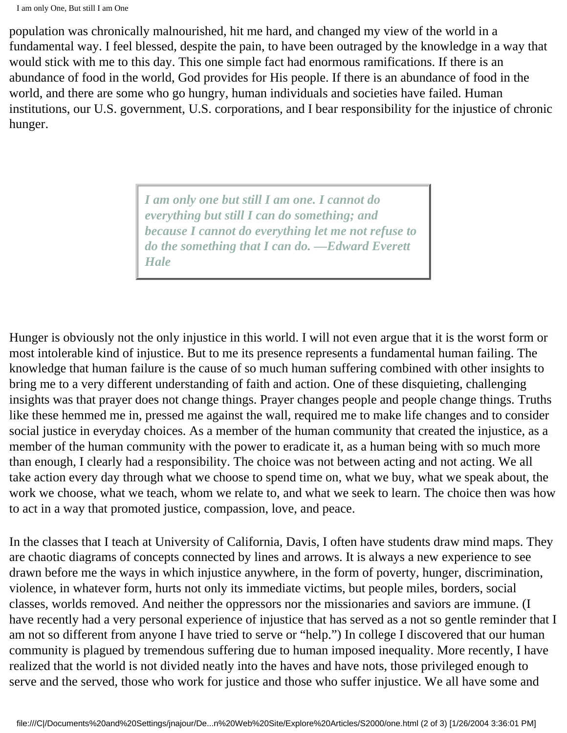population was chronically malnourished, hit me hard, and changed my view of the world in a fundamental way. I feel blessed, despite the pain, to have been outraged by the knowledge in a way that would stick with me to this day. This one simple fact had enormous ramifications. If there is an abundance of food in the world, God provides for His people. If there is an abundance of food in the world, and there are some who go hungry, human individuals and societies have failed. Human institutions, our U.S. government, U.S. corporations, and I bear responsibility for the injustice of chronic hunger.

> *I am only one but still I am one. I cannot do everything but still I can do something; and because I cannot do everything let me not refuse to do the something that I can do. —Edward Everett Hale*

Hunger is obviously not the only injustice in this world. I will not even argue that it is the worst form or most intolerable kind of injustice. But to me its presence represents a fundamental human failing. The knowledge that human failure is the cause of so much human suffering combined with other insights to bring me to a very different understanding of faith and action. One of these disquieting, challenging insights was that prayer does not change things. Prayer changes people and people change things. Truths like these hemmed me in, pressed me against the wall, required me to make life changes and to consider social justice in everyday choices. As a member of the human community that created the injustice, as a member of the human community with the power to eradicate it, as a human being with so much more than enough, I clearly had a responsibility. The choice was not between acting and not acting. We all take action every day through what we choose to spend time on, what we buy, what we speak about, the work we choose, what we teach, whom we relate to, and what we seek to learn. The choice then was how to act in a way that promoted justice, compassion, love, and peace.

In the classes that I teach at University of California, Davis, I often have students draw mind maps. They are chaotic diagrams of concepts connected by lines and arrows. It is always a new experience to see drawn before me the ways in which injustice anywhere, in the form of poverty, hunger, discrimination, violence, in whatever form, hurts not only its immediate victims, but people miles, borders, social classes, worlds removed. And neither the oppressors nor the missionaries and saviors are immune. (I have recently had a very personal experience of injustice that has served as a not so gentle reminder that I am not so different from anyone I have tried to serve or "help.") In college I discovered that our human community is plagued by tremendous suffering due to human imposed inequality. More recently, I have realized that the world is not divided neatly into the haves and have nots, those privileged enough to serve and the served, those who work for justice and those who suffer injustice. We all have some and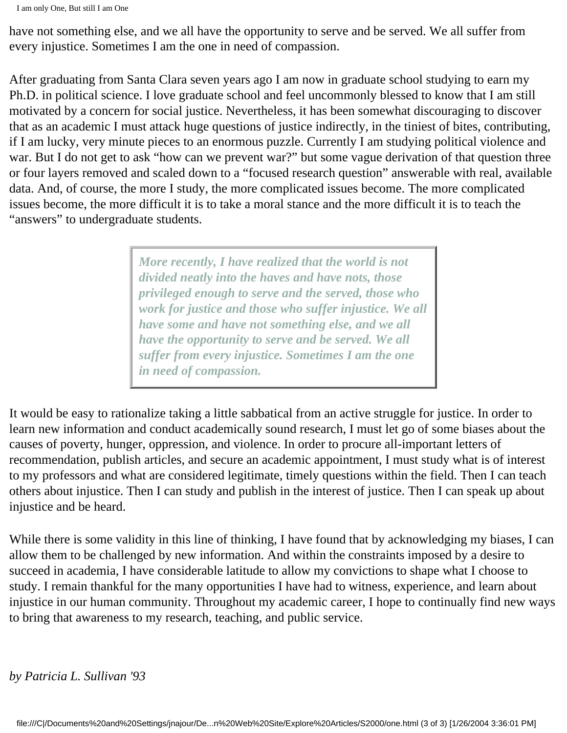have not something else, and we all have the opportunity to serve and be served. We all suffer from every injustice. Sometimes I am the one in need of compassion.

After graduating from Santa Clara seven years ago I am now in graduate school studying to earn my Ph.D. in political science. I love graduate school and feel uncommonly blessed to know that I am still motivated by a concern for social justice. Nevertheless, it has been somewhat discouraging to discover that as an academic I must attack huge questions of justice indirectly, in the tiniest of bites, contributing, if I am lucky, very minute pieces to an enormous puzzle. Currently I am studying political violence and war. But I do not get to ask "how can we prevent war?" but some vague derivation of that question three or four layers removed and scaled down to a "focused research question" answerable with real, available data. And, of course, the more I study, the more complicated issues become. The more complicated issues become, the more difficult it is to take a moral stance and the more difficult it is to teach the "answers" to undergraduate students.

> *More recently, I have realized that the world is not divided neatly into the haves and have nots, those privileged enough to serve and the served, those who work for justice and those who suffer injustice. We all have some and have not something else, and we all have the opportunity to serve and be served. We all suffer from every injustice. Sometimes I am the one in need of compassion.*

It would be easy to rationalize taking a little sabbatical from an active struggle for justice. In order to learn new information and conduct academically sound research, I must let go of some biases about the causes of poverty, hunger, oppression, and violence. In order to procure all-important letters of recommendation, publish articles, and secure an academic appointment, I must study what is of interest to my professors and what are considered legitimate, timely questions within the field. Then I can teach others about injustice. Then I can study and publish in the interest of justice. Then I can speak up about injustice and be heard.

While there is some validity in this line of thinking, I have found that by acknowledging my biases, I can allow them to be challenged by new information. And within the constraints imposed by a desire to succeed in academia, I have considerable latitude to allow my convictions to shape what I choose to study. I remain thankful for the many opportunities I have had to witness, experience, and learn about injustice in our human community. Throughout my academic career, I hope to continually find new ways to bring that awareness to my research, teaching, and public service.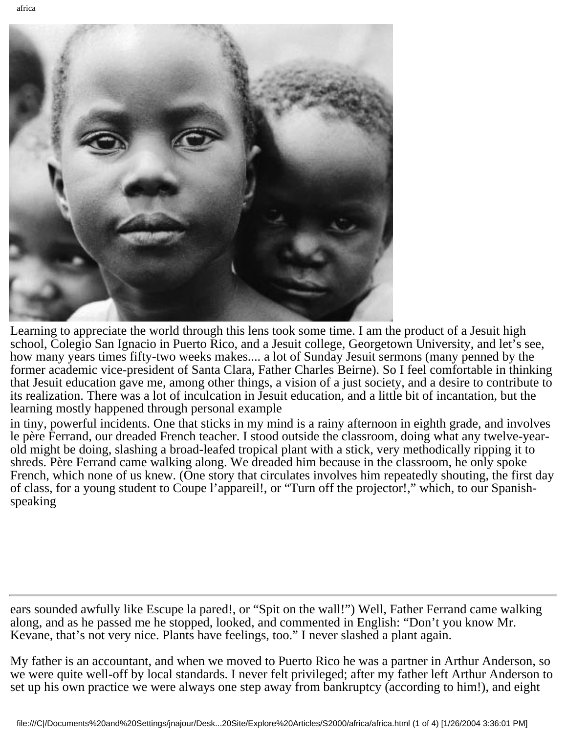

Learning to appreciate the world through this lens took some time. I am the product of a Jesuit high school, Colegio San Ignacio in Puerto Rico, and a Jesuit college, Georgetown University, and let's see, how many years times fifty-two weeks makes.... a lot of Sunday Jesuit sermons (many penned by the former academic vice-president of Santa Clara, Father Charles Beirne). So I feel comfortable in thinking that Jesuit education gave me, among other things, a vision of a just society, and a desire to contribute to its realization. There was a lot of inculcation in Jesuit education, and a little bit of incantation, but the learning mostly happened through personal example

in tiny, powerful incidents. One that sticks in my mind is a rainy afternoon in eighth grade, and involves le père Ferrand, our dreaded French teacher. I stood outside the classroom, doing what any twelve-yearold might be doing, slashing a broad-leafed tropical plant with a stick, very methodically ripping it to shreds. Père Ferrand came walking along. We dreaded him because in the classroom, he only spoke French, which none of us knew. (One story that circulates involves him repeatedly shouting, the first day of class, for a young student to Coupe l'appareil!, or "Turn off the projector!," which, to our Spanishspeaking

ears sounded awfully like Escupe la pared!, or "Spit on the wall!") Well, Father Ferrand came walking along, and as he passed me he stopped, looked, and commented in English: "Don't you know Mr. Kevane, that's not very nice. Plants have feelings, too." I never slashed a plant again.

My father is an accountant, and when we moved to Puerto Rico he was a partner in Arthur Anderson, so we were quite well-off by local standards. I never felt privileged; after my father left Arthur Anderson to set up his own practice we were always one step away from bankruptcy (according to him!), and eight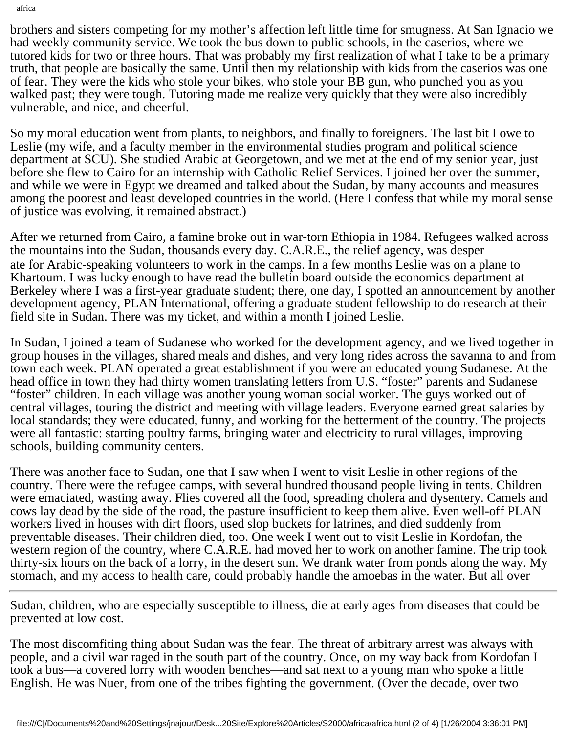brothers and sisters competing for my mother's affection left little time for smugness. At San Ignacio we had weekly community service. We took the bus down to public schools, in the caserios, where we tutored kids for two or three hours. That was probably my first realization of what I take to be a primary truth, that people are basically the same. Until then my relationship with kids from the caserios was one of fear. They were the kids who stole your bikes, who stole your BB gun, who punched you as you walked past; they were tough. Tutoring made me realize very quickly that they were also incredibly vulnerable, and nice, and cheerful.

So my moral education went from plants, to neighbors, and finally to foreigners. The last bit I owe to Leslie (my wife, and a faculty member in the environmental studies program and political science department at SCU). She studied Arabic at Georgetown, and we met at the end of my senior year, just before she flew to Cairo for an internship with Catholic Relief Services. I joined her over the summer, and while we were in Egypt we dreamed and talked about the Sudan, by many accounts and measures among the poorest and least developed countries in the world. (Here I confess that while my moral sense of justice was evolving, it remained abstract.)

After we returned from Cairo, a famine broke out in war-torn Ethiopia in 1984. Refugees walked across the mountains into the Sudan, thousands every day. C.A.R.E., the relief agency, was desper ate for Arabic-speaking volunteers to work in the camps. In a few months Leslie was on a plane to Khartoum. I was lucky enough to have read the bulletin board outside the economics department at Berkeley where I was a first-year graduate student; there, one day, I spotted an announcement by another development agency, PLAN International, offering a graduate student fellowship to do research at their field site in Sudan. There was my ticket, and within a month I joined Leslie.

In Sudan, I joined a team of Sudanese who worked for the development agency, and we lived together in group houses in the villages, shared meals and dishes, and very long rides across the savanna to and from town each week. PLAN operated a great establishment if you were an educated young Sudanese. At the head office in town they had thirty women translating letters from U.S. "foster" parents and Sudanese "foster" children. In each village was another young woman social worker. The guys worked out of central villages, touring the district and meeting with village leaders. Everyone earned great salaries by local standards; they were educated, funny, and working for the betterment of the country. The projects were all fantastic: starting poultry farms, bringing water and electricity to rural villages, improving schools, building community centers.

There was another face to Sudan, one that I saw when I went to visit Leslie in other regions of the country. There were the refugee camps, with several hundred thousand people living in tents. Children were emaciated, wasting away. Flies covered all the food, spreading cholera and dysentery. Camels and cows lay dead by the side of the road, the pasture insufficient to keep them alive. Even well-off PLAN workers lived in houses with dirt floors, used slop buckets for latrines, and died suddenly from preventable diseases. Their children died, too. One week I went out to visit Leslie in Kordofan, the western region of the country, where C.A.R.E. had moved her to work on another famine. The trip took thirty-six hours on the back of a lorry, in the desert sun. We drank water from ponds along the way. My stomach, and my access to health care, could probably handle the amoebas in the water. But all over

Sudan, children, who are especially susceptible to illness, die at early ages from diseases that could be prevented at low cost.

The most discomfiting thing about Sudan was the fear. The threat of arbitrary arrest was always with people, and a civil war raged in the south part of the country. Once, on my way back from Kordofan I took a bus—a covered lorry with wooden benches—and sat next to a young man who spoke a little English. He was Nuer, from one of the tribes fighting the government. (Over the decade, over two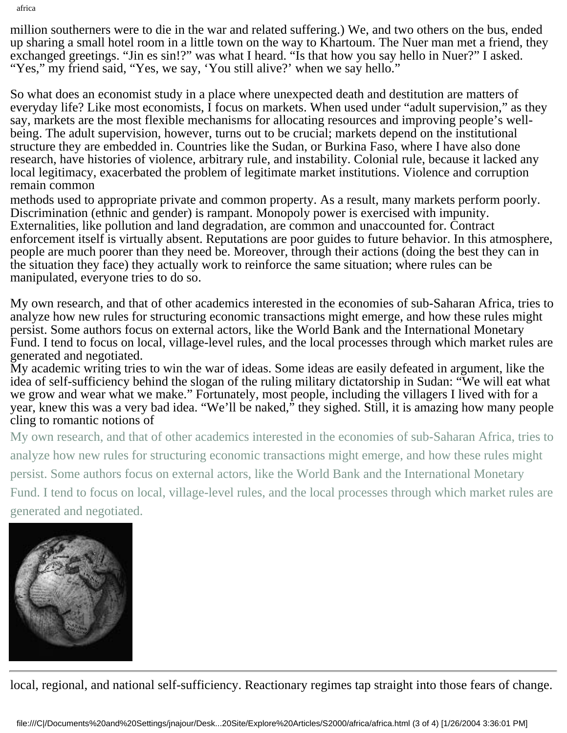million southerners were to die in the war and related suffering.) We, and two others on the bus, ended up sharing a small hotel room in a little town on the way to Khartoum. The Nuer man met a friend, they exchanged greetings. "Jin es sin!?" was what I heard. "Is that how you say hello in Nuer?" I asked. "Yes," my friend said, "Yes, we say, 'You still alive?' when we say hello."

So what does an economist study in a place where unexpected death and destitution are matters of everyday life? Like most economists, I focus on markets. When used under "adult supervision," as they say, markets are the most flexible mechanisms for allocating resources and improving people's wellbeing. The adult supervision, however, turns out to be crucial; markets depend on the institutional structure they are embedded in. Countries like the Sudan, or Burkina Faso, where I have also done research, have histories of violence, arbitrary rule, and instability. Colonial rule, because it lacked any local legitimacy, exacerbated the problem of legitimate market institutions. Violence and corruption remain common

methods used to appropriate private and common property. As a result, many markets perform poorly. Discrimination (ethnic and gender) is rampant. Monopoly power is exercised with impunity. Externalities, like pollution and land degradation, are common and unaccounted for. Contract enforcement itself is virtually absent. Reputations are poor guides to future behavior. In this atmosphere, people are much poorer than they need be. Moreover, through their actions (doing the best they can in the situation they face) they actually work to reinforce the same situation; where rules can be manipulated, everyone tries to do so.

My own research, and that of other academics interested in the economies of sub-Saharan Africa, tries to analyze how new rules for structuring economic transactions might emerge, and how these rules might persist. Some authors focus on external actors, like the World Bank and the International Monetary Fund. I tend to focus on local, village-level rules, and the local processes through which market rules are generated and negotiated.

My academic writing tries to win the war of ideas. Some ideas are easily defeated in argument, like the idea of self-sufficiency behind the slogan of the ruling military dictatorship in Sudan: "We will eat what we grow and wear what we make." Fortunately, most people, including the villagers I lived with for a year, knew this was a very bad idea. "We'll be naked," they sighed. Still, it is amazing how many people cling to romantic notions of

My own research, and that of other academics interested in the economies of sub-Saharan Africa, tries to

analyze how new rules for structuring economic transactions might emerge, and how these rules might

persist. Some authors focus on external actors, like the World Bank and the International Monetary

Fund. I tend to focus on local, village-level rules, and the local processes through which market rules are generated and negotiated.

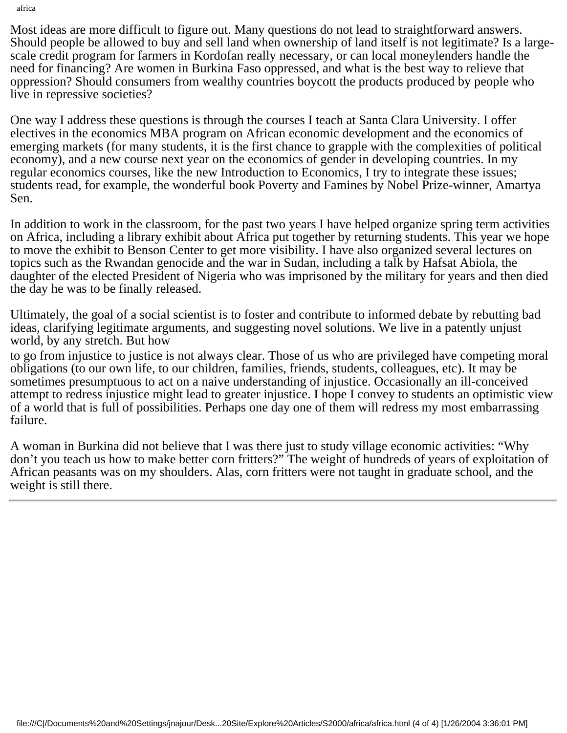Most ideas are more difficult to figure out. Many questions do not lead to straightforward answers. Should people be allowed to buy and sell land when ownership of land itself is not legitimate? Is a largescale credit program for farmers in Kordofan really necessary, or can local moneylenders handle the need for financing? Are women in Burkina Faso oppressed, and what is the best way to relieve that oppression? Should consumers from wealthy countries boycott the products produced by people who live in repressive societies?

One way I address these questions is through the courses I teach at Santa Clara University. I offer electives in the economics MBA program on African economic development and the economics of emerging markets (for many students, it is the first chance to grapple with the complexities of political economy), and a new course next year on the economics of gender in developing countries. In my regular economics courses, like the new Introduction to Economics, I try to integrate these issues; students read, for example, the wonderful book Poverty and Famines by Nobel Prize-winner, Amartya Sen.

In addition to work in the classroom, for the past two years I have helped organize spring term activities on Africa, including a library exhibit about Africa put together by returning students. This year we hope to move the exhibit to Benson Center to get more visibility. I have also organized several lectures on topics such as the Rwandan genocide and the war in Sudan, including a talk by Hafsat Abiola, the daughter of the elected President of Nigeria who was imprisoned by the military for years and then died the day he was to be finally released.

Ultimately, the goal of a social scientist is to foster and contribute to informed debate by rebutting bad ideas, clarifying legitimate arguments, and suggesting novel solutions. We live in a patently unjust world, by any stretch. But how

to go from injustice to justice is not always clear. Those of us who are privileged have competing moral obligations (to our own life, to our children, families, friends, students, colleagues, etc). It may be sometimes presumptuous to act on a naive understanding of injustice. Occasionally an ill-conceived attempt to redress injustice might lead to greater injustice. I hope I convey to students an optimistic view of a world that is full of possibilities. Perhaps one day one of them will redress my most embarrassing failure.

A woman in Burkina did not believe that I was there just to study village economic activities: "Why don't you teach us how to make better corn fritters?" The weight of hundreds of years of exploitation of African peasants was on my shoulders. Alas, corn fritters were not taught in graduate school, and the weight is still there.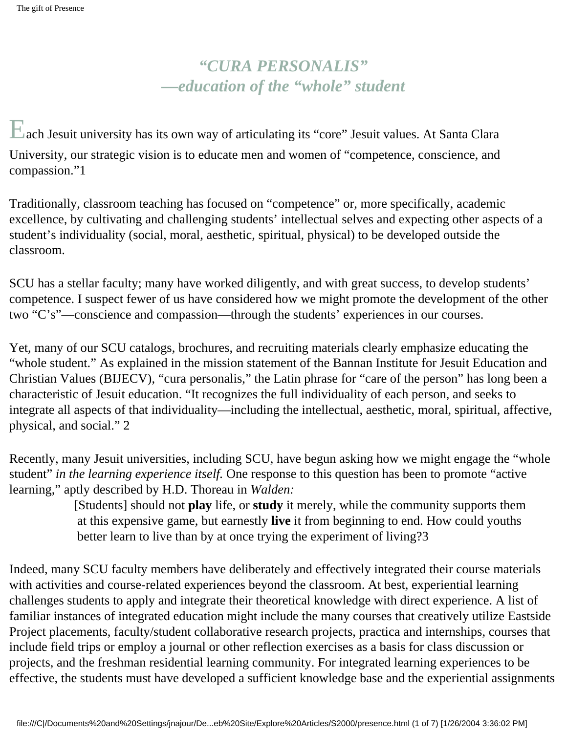# *"CURA PERSONALIS" —education of the "whole" student*

Each Jesuit university has its own way of articulating its "core" Jesuit values. At Santa Clara University, our strategic vision is to educate men and women of "competence, conscience, and compassion."1

Traditionally, classroom teaching has focused on "competence" or, more specifically, academic excellence, by cultivating and challenging students' intellectual selves and expecting other aspects of a student's individuality (social, moral, aesthetic, spiritual, physical) to be developed outside the classroom.

SCU has a stellar faculty; many have worked diligently, and with great success, to develop students' competence. I suspect fewer of us have considered how we might promote the development of the other two "C's"—conscience and compassion—through the students' experiences in our courses.

Yet, many of our SCU catalogs, brochures, and recruiting materials clearly emphasize educating the "whole student." As explained in the mission statement of the Bannan Institute for Jesuit Education and Christian Values (BIJECV), "cura personalis," the Latin phrase for "care of the person" has long been a characteristic of Jesuit education. "It recognizes the full individuality of each person, and seeks to integrate all aspects of that individuality—including the intellectual, aesthetic, moral, spiritual, affective, physical, and social." 2

Recently, many Jesuit universities, including SCU, have begun asking how we might engage the "whole student" *in the learning experience itself.* One response to this question has been to promote "active learning," aptly described by H.D. Thoreau in *Walden:*

> [Students] should not **play** life, or **study** it merely, while the community supports them at this expensive game, but earnestly **live** it from beginning to end. How could youths better learn to live than by at once trying the experiment of living?3

Indeed, many SCU faculty members have deliberately and effectively integrated their course materials with activities and course-related experiences beyond the classroom. At best, experiential learning challenges students to apply and integrate their theoretical knowledge with direct experience. A list of familiar instances of integrated education might include the many courses that creatively utilize Eastside Project placements, faculty/student collaborative research projects, practica and internships, courses that include field trips or employ a journal or other reflection exercises as a basis for class discussion or projects, and the freshman residential learning community. For integrated learning experiences to be effective, the students must have developed a sufficient knowledge base and the experiential assignments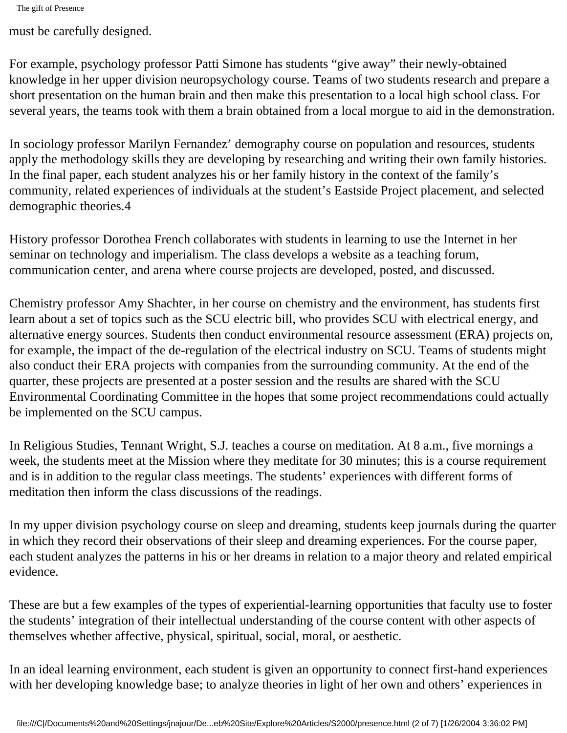must be carefully designed.

For example, psychology professor Patti Simone has students "give away" their newly-obtained knowledge in her upper division neuropsychology course. Teams of two students research and prepare a short presentation on the human brain and then make this presentation to a local high school class. For several years, the teams took with them a brain obtained from a local morgue to aid in the demonstration.

In sociology professor Marilyn Fernandez' demography course on population and resources, students apply the methodology skills they are developing by researching and writing their own family histories. In the final paper, each student analyzes his or her family history in the context of the family's community, related experiences of individuals at the student's Eastside Project placement, and selected demographic theories.4

History professor Dorothea French collaborates with students in learning to use the Internet in her seminar on technology and imperialism. The class develops a website as a teaching forum, communication center, and arena where course projects are developed, posted, and discussed.

Chemistry professor Amy Shachter, in her course on chemistry and the environment, has students first learn about a set of topics such as the SCU electric bill, who provides SCU with electrical energy, and alternative energy sources. Students then conduct environmental resource assessment (ERA) projects on, for example, the impact of the de-regulation of the electrical industry on SCU. Teams of students might also conduct their ERA projects with companies from the surrounding community. At the end of the quarter, these projects are presented at a poster session and the results are shared with the SCU Environmental Coordinating Committee in the hopes that some project recommendations could actually be implemented on the SCU campus.

In Religious Studies, Tennant Wright, S.J. teaches a course on meditation. At 8 a.m., five mornings a week, the students meet at the Mission where they meditate for 30 minutes; this is a course requirement and is in addition to the regular class meetings. The students' experiences with different forms of meditation then inform the class discussions of the readings.

In my upper division psychology course on sleep and dreaming, students keep journals during the quarter in which they record their observations of their sleep and dreaming experiences. For the course paper, each student analyzes the patterns in his or her dreams in relation to a major theory and related empirical evidence.

These are but a few examples of the types of experiential-learning opportunities that faculty use to foster the students' integration of their intellectual understanding of the course content with other aspects of themselves whether affective, physical, spiritual, social, moral, or aesthetic.

In an ideal learning environment, each student is given an opportunity to connect first-hand experiences with her developing knowledge base; to analyze theories in light of her own and others' experiences in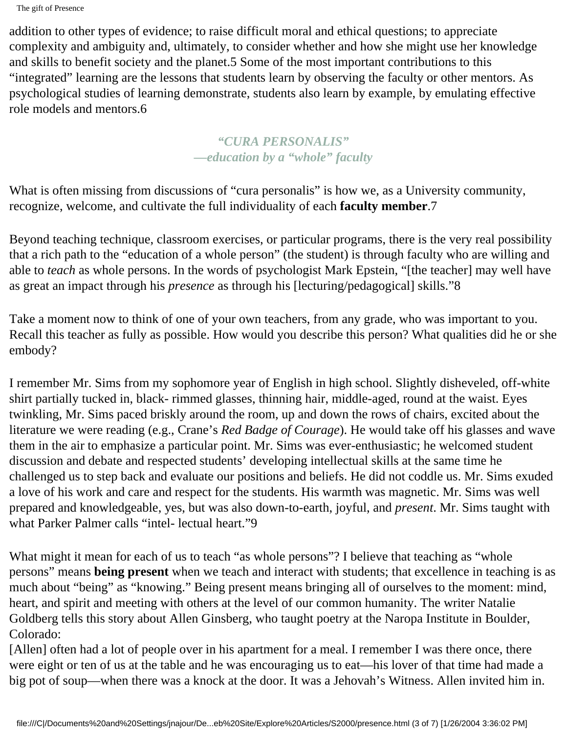addition to other types of evidence; to raise difficult moral and ethical questions; to appreciate complexity and ambiguity and, ultimately, to consider whether and how she might use her knowledge and skills to benefit society and the planet.5 Some of the most important contributions to this "integrated" learning are the lessons that students learn by observing the faculty or other mentors. As psychological studies of learning demonstrate, students also learn by example, by emulating effective role models and mentors.6

### *"CURA PERSONALIS" —education by a "whole" faculty*

What is often missing from discussions of "cura personalis" is how we, as a University community, recognize, welcome, and cultivate the full individuality of each **faculty member**.7

Beyond teaching technique, classroom exercises, or particular programs, there is the very real possibility that a rich path to the "education of a whole person" (the student) is through faculty who are willing and able to *teach* as whole persons. In the words of psychologist Mark Epstein, "[the teacher] may well have as great an impact through his *presence* as through his [lecturing/pedagogical] skills."8

Take a moment now to think of one of your own teachers, from any grade, who was important to you. Recall this teacher as fully as possible. How would you describe this person? What qualities did he or she embody?

I remember Mr. Sims from my sophomore year of English in high school. Slightly disheveled, off-white shirt partially tucked in, black- rimmed glasses, thinning hair, middle-aged, round at the waist. Eyes twinkling, Mr. Sims paced briskly around the room, up and down the rows of chairs, excited about the literature we were reading (e.g., Crane's *Red Badge of Courage*). He would take off his glasses and wave them in the air to emphasize a particular point. Mr. Sims was ever-enthusiastic; he welcomed student discussion and debate and respected students' developing intellectual skills at the same time he challenged us to step back and evaluate our positions and beliefs. He did not coddle us. Mr. Sims exuded a love of his work and care and respect for the students. His warmth was magnetic. Mr. Sims was well prepared and knowledgeable, yes, but was also down-to-earth, joyful, and *present*. Mr. Sims taught with what Parker Palmer calls "intel- lectual heart."9

What might it mean for each of us to teach "as whole persons"? I believe that teaching as "whole persons" means **being present** when we teach and interact with students; that excellence in teaching is as much about "being" as "knowing." Being present means bringing all of ourselves to the moment: mind, heart, and spirit and meeting with others at the level of our common humanity. The writer Natalie Goldberg tells this story about Allen Ginsberg, who taught poetry at the Naropa Institute in Boulder, Colorado:

[Allen] often had a lot of people over in his apartment for a meal. I remember I was there once, there were eight or ten of us at the table and he was encouraging us to eat—his lover of that time had made a big pot of soup—when there was a knock at the door. It was a Jehovah's Witness. Allen invited him in.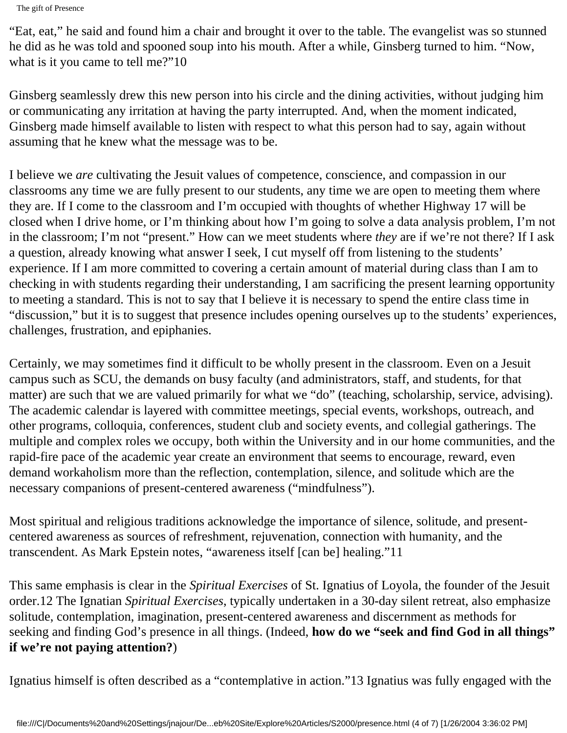"Eat, eat," he said and found him a chair and brought it over to the table. The evangelist was so stunned he did as he was told and spooned soup into his mouth. After a while, Ginsberg turned to him. "Now, what is it you came to tell me?"10

Ginsberg seamlessly drew this new person into his circle and the dining activities, without judging him or communicating any irritation at having the party interrupted. And, when the moment indicated, Ginsberg made himself available to listen with respect to what this person had to say, again without assuming that he knew what the message was to be.

I believe we *are* cultivating the Jesuit values of competence, conscience, and compassion in our classrooms any time we are fully present to our students, any time we are open to meeting them where they are. If I come to the classroom and I'm occupied with thoughts of whether Highway 17 will be closed when I drive home, or I'm thinking about how I'm going to solve a data analysis problem, I'm not in the classroom; I'm not "present." How can we meet students where *they* are if we're not there? If I ask a question, already knowing what answer I seek, I cut myself off from listening to the students' experience. If I am more committed to covering a certain amount of material during class than I am to checking in with students regarding their understanding, I am sacrificing the present learning opportunity to meeting a standard. This is not to say that I believe it is necessary to spend the entire class time in "discussion," but it is to suggest that presence includes opening ourselves up to the students' experiences, challenges, frustration, and epiphanies.

Certainly, we may sometimes find it difficult to be wholly present in the classroom. Even on a Jesuit campus such as SCU, the demands on busy faculty (and administrators, staff, and students, for that matter) are such that we are valued primarily for what we "do" (teaching, scholarship, service, advising). The academic calendar is layered with committee meetings, special events, workshops, outreach, and other programs, colloquia, conferences, student club and society events, and collegial gatherings. The multiple and complex roles we occupy, both within the University and in our home communities, and the rapid-fire pace of the academic year create an environment that seems to encourage, reward, even demand workaholism more than the reflection, contemplation, silence, and solitude which are the necessary companions of present-centered awareness ("mindfulness").

Most spiritual and religious traditions acknowledge the importance of silence, solitude, and presentcentered awareness as sources of refreshment, rejuvenation, connection with humanity, and the transcendent. As Mark Epstein notes, "awareness itself [can be] healing."11

This same emphasis is clear in the *Spiritual Exercises* of St. Ignatius of Loyola, the founder of the Jesuit order.12 The Ignatian *Spiritual Exercises*, typically undertaken in a 30-day silent retreat, also emphasize solitude, contemplation, imagination, present-centered awareness and discernment as methods for seeking and finding God's presence in all things. (Indeed, **how do we "seek and find God in all things" if we're not paying attention?**)

Ignatius himself is often described as a "contemplative in action."13 Ignatius was fully engaged with the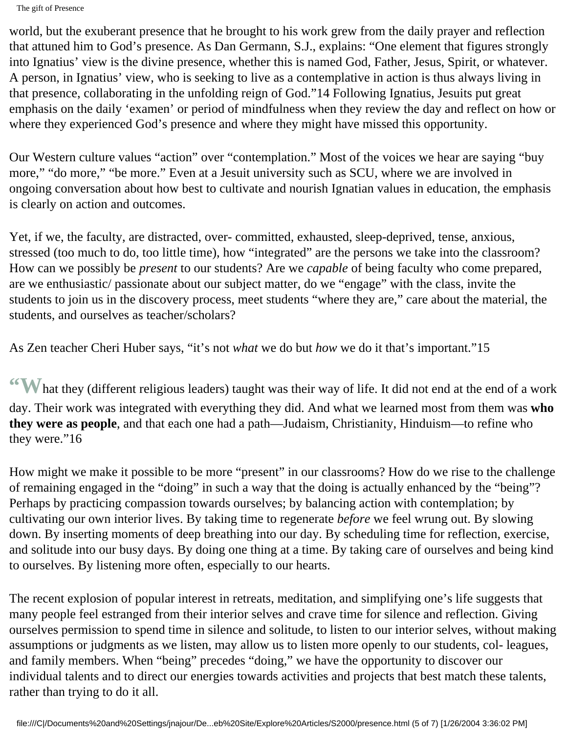world, but the exuberant presence that he brought to his work grew from the daily prayer and reflection that attuned him to God's presence. As Dan Germann, S.J., explains: "One element that figures strongly into Ignatius' view is the divine presence, whether this is named God, Father, Jesus, Spirit, or whatever. A person, in Ignatius' view, who is seeking to live as a contemplative in action is thus always living in that presence, collaborating in the unfolding reign of God."14 Following Ignatius, Jesuits put great emphasis on the daily 'examen' or period of mindfulness when they review the day and reflect on how or where they experienced God's presence and where they might have missed this opportunity.

Our Western culture values "action" over "contemplation." Most of the voices we hear are saying "buy more," "do more," "be more." Even at a Jesuit university such as SCU, where we are involved in ongoing conversation about how best to cultivate and nourish Ignatian values in education, the emphasis is clearly on action and outcomes.

Yet, if we, the faculty, are distracted, over- committed, exhausted, sleep-deprived, tense, anxious, stressed (too much to do, too little time), how "integrated" are the persons we take into the classroom? How can we possibly be *present* to our students? Are we *capable* of being faculty who come prepared, are we enthusiastic/ passionate about our subject matter, do we "engage" with the class, invite the students to join us in the discovery process, meet students "where they are," care about the material, the students, and ourselves as teacher/scholars?

As Zen teacher Cheri Huber says, "it's not *what* we do but *how* we do it that's important."15

**"W**hat they (different religious leaders) taught was their way of life. It did not end at the end of a work day. Their work was integrated with everything they did. And what we learned most from them was **who they were as people**, and that each one had a path—Judaism, Christianity, Hinduism—to refine who they were."16

How might we make it possible to be more "present" in our classrooms? How do we rise to the challenge of remaining engaged in the "doing" in such a way that the doing is actually enhanced by the "being"? Perhaps by practicing compassion towards ourselves; by balancing action with contemplation; by cultivating our own interior lives. By taking time to regenerate *before* we feel wrung out. By slowing down. By inserting moments of deep breathing into our day. By scheduling time for reflection, exercise, and solitude into our busy days. By doing one thing at a time. By taking care of ourselves and being kind to ourselves. By listening more often, especially to our hearts.

The recent explosion of popular interest in retreats, meditation, and simplifying one's life suggests that many people feel estranged from their interior selves and crave time for silence and reflection. Giving ourselves permission to spend time in silence and solitude, to listen to our interior selves, without making assumptions or judgments as we listen, may allow us to listen more openly to our students, col- leagues, and family members. When "being" precedes "doing," we have the opportunity to discover our individual talents and to direct our energies towards activities and projects that best match these talents, rather than trying to do it all.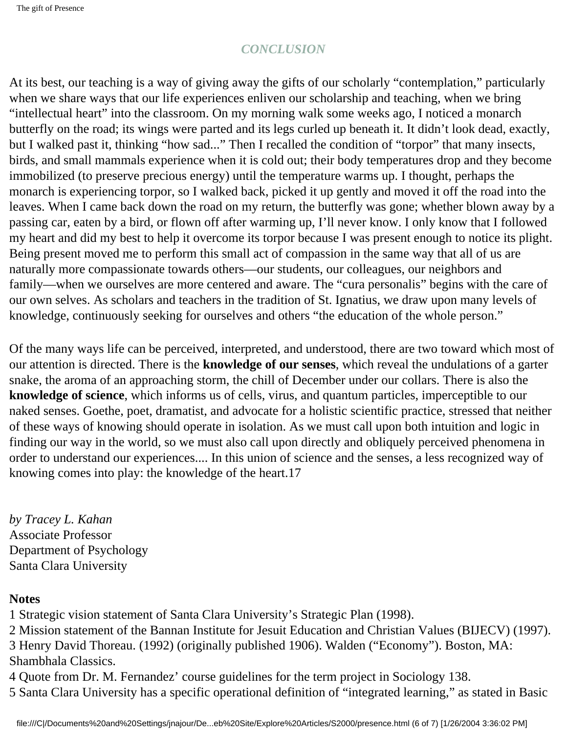### *CONCLUSION*

At its best, our teaching is a way of giving away the gifts of our scholarly "contemplation," particularly when we share ways that our life experiences enliven our scholarship and teaching, when we bring "intellectual heart" into the classroom. On my morning walk some weeks ago, I noticed a monarch butterfly on the road; its wings were parted and its legs curled up beneath it. It didn't look dead, exactly, but I walked past it, thinking "how sad..." Then I recalled the condition of "torpor" that many insects, birds, and small mammals experience when it is cold out; their body temperatures drop and they become immobilized (to preserve precious energy) until the temperature warms up. I thought, perhaps the monarch is experiencing torpor, so I walked back, picked it up gently and moved it off the road into the leaves. When I came back down the road on my return, the butterfly was gone; whether blown away by a passing car, eaten by a bird, or flown off after warming up, I'll never know. I only know that I followed my heart and did my best to help it overcome its torpor because I was present enough to notice its plight. Being present moved me to perform this small act of compassion in the same way that all of us are naturally more compassionate towards others—our students, our colleagues, our neighbors and family—when we ourselves are more centered and aware. The "cura personalis" begins with the care of our own selves. As scholars and teachers in the tradition of St. Ignatius, we draw upon many levels of knowledge, continuously seeking for ourselves and others "the education of the whole person."

Of the many ways life can be perceived, interpreted, and understood, there are two toward which most of our attention is directed. There is the **knowledge of our senses**, which reveal the undulations of a garter snake, the aroma of an approaching storm, the chill of December under our collars. There is also the **knowledge of science**, which informs us of cells, virus, and quantum particles, imperceptible to our naked senses. Goethe, poet, dramatist, and advocate for a holistic scientific practice, stressed that neither of these ways of knowing should operate in isolation. As we must call upon both intuition and logic in finding our way in the world, so we must also call upon directly and obliquely perceived phenomena in order to understand our experiences.... In this union of science and the senses, a less recognized way of knowing comes into play: the knowledge of the heart.17

*by Tracey L. Kahan* Associate Professor Department of Psychology Santa Clara University

#### **Notes**

1 Strategic vision statement of Santa Clara University's Strategic Plan (1998).

2 Mission statement of the Bannan Institute for Jesuit Education and Christian Values (BIJECV) (1997).

3 Henry David Thoreau. (1992) (originally published 1906). Walden ("Economy"). Boston, MA:

Shambhala Classics.

4 Quote from Dr. M. Fernandez' course guidelines for the term project in Sociology 138.

5 Santa Clara University has a specific operational definition of "integrated learning," as stated in Basic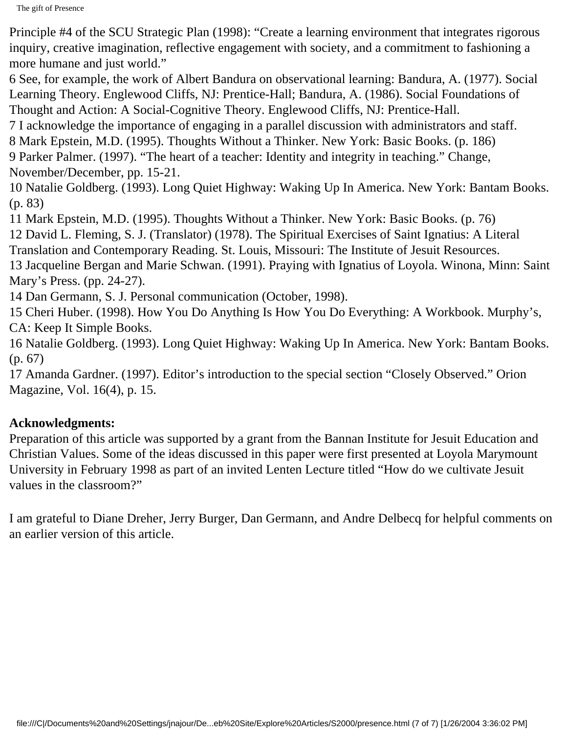Principle #4 of the SCU Strategic Plan (1998): "Create a learning environment that integrates rigorous inquiry, creative imagination, reflective engagement with society, and a commitment to fashioning a more humane and just world."

6 See, for example, the work of Albert Bandura on observational learning: Bandura, A. (1977). Social Learning Theory. Englewood Cliffs, NJ: Prentice-Hall; Bandura, A. (1986). Social Foundations of Thought and Action: A Social-Cognitive Theory. Englewood Cliffs, NJ: Prentice-Hall.

7 I acknowledge the importance of engaging in a parallel discussion with administrators and staff.

8 Mark Epstein, M.D. (1995). Thoughts Without a Thinker. New York: Basic Books. (p. 186)

9 Parker Palmer. (1997). "The heart of a teacher: Identity and integrity in teaching." Change, November/December, pp. 15-21.

10 Natalie Goldberg. (1993). Long Quiet Highway: Waking Up In America. New York: Bantam Books. (p. 83)

11 Mark Epstein, M.D. (1995). Thoughts Without a Thinker. New York: Basic Books. (p. 76)

12 David L. Fleming, S. J. (Translator) (1978). The Spiritual Exercises of Saint Ignatius: A Literal

Translation and Contemporary Reading. St. Louis, Missouri: The Institute of Jesuit Resources.

13 Jacqueline Bergan and Marie Schwan. (1991). Praying with Ignatius of Loyola. Winona, Minn: Saint Mary's Press. (pp. 24-27).

14 Dan Germann, S. J. Personal communication (October, 1998).

15 Cheri Huber. (1998). How You Do Anything Is How You Do Everything: A Workbook. Murphy's, CA: Keep It Simple Books.

16 Natalie Goldberg. (1993). Long Quiet Highway: Waking Up In America. New York: Bantam Books. (p. 67)

17 Amanda Gardner. (1997). Editor's introduction to the special section "Closely Observed." Orion Magazine, Vol. 16(4), p. 15.

# **Acknowledgments:**

Preparation of this article was supported by a grant from the Bannan Institute for Jesuit Education and Christian Values. Some of the ideas discussed in this paper were first presented at Loyola Marymount University in February 1998 as part of an invited Lenten Lecture titled "How do we cultivate Jesuit values in the classroom?"

I am grateful to Diane Dreher, Jerry Burger, Dan Germann, and Andre Delbecq for helpful comments on an earlier version of this article.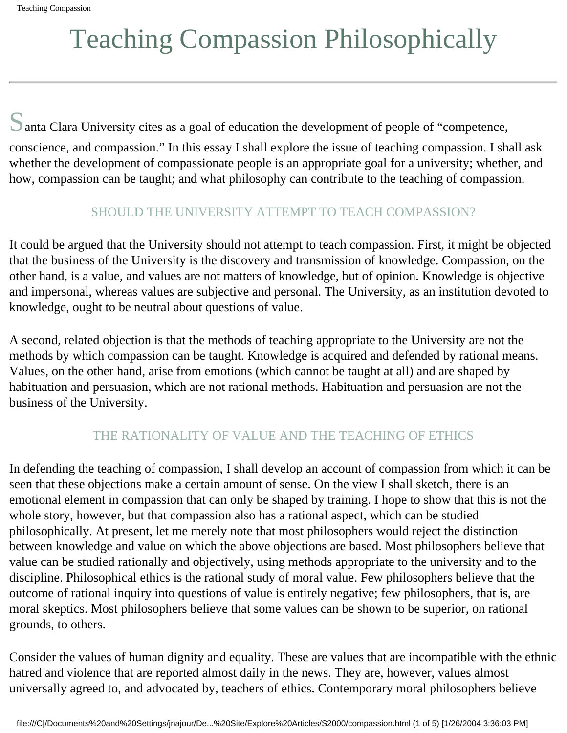# Teaching Compassion Philosophically

Santa Clara University cites as a goal of education the development of people of "competence,

conscience, and compassion." In this essay I shall explore the issue of teaching compassion. I shall ask whether the development of compassionate people is an appropriate goal for a university; whether, and how, compassion can be taught; and what philosophy can contribute to the teaching of compassion.

# SHOULD THE UNIVERSITY ATTEMPT TO TEACH COMPASSION?

It could be argued that the University should not attempt to teach compassion. First, it might be objected that the business of the University is the discovery and transmission of knowledge. Compassion, on the other hand, is a value, and values are not matters of knowledge, but of opinion. Knowledge is objective and impersonal, whereas values are subjective and personal. The University, as an institution devoted to knowledge, ought to be neutral about questions of value.

A second, related objection is that the methods of teaching appropriate to the University are not the methods by which compassion can be taught. Knowledge is acquired and defended by rational means. Values, on the other hand, arise from emotions (which cannot be taught at all) and are shaped by habituation and persuasion, which are not rational methods. Habituation and persuasion are not the business of the University.

## THE RATIONALITY OF VALUE AND THE TEACHING OF ETHICS

In defending the teaching of compassion, I shall develop an account of compassion from which it can be seen that these objections make a certain amount of sense. On the view I shall sketch, there is an emotional element in compassion that can only be shaped by training. I hope to show that this is not the whole story, however, but that compassion also has a rational aspect, which can be studied philosophically. At present, let me merely note that most philosophers would reject the distinction between knowledge and value on which the above objections are based. Most philosophers believe that value can be studied rationally and objectively, using methods appropriate to the university and to the discipline. Philosophical ethics is the rational study of moral value. Few philosophers believe that the outcome of rational inquiry into questions of value is entirely negative; few philosophers, that is, are moral skeptics. Most philosophers believe that some values can be shown to be superior, on rational grounds, to others.

Consider the values of human dignity and equality. These are values that are incompatible with the ethnic hatred and violence that are reported almost daily in the news. They are, however, values almost universally agreed to, and advocated by, teachers of ethics. Contemporary moral philosophers believe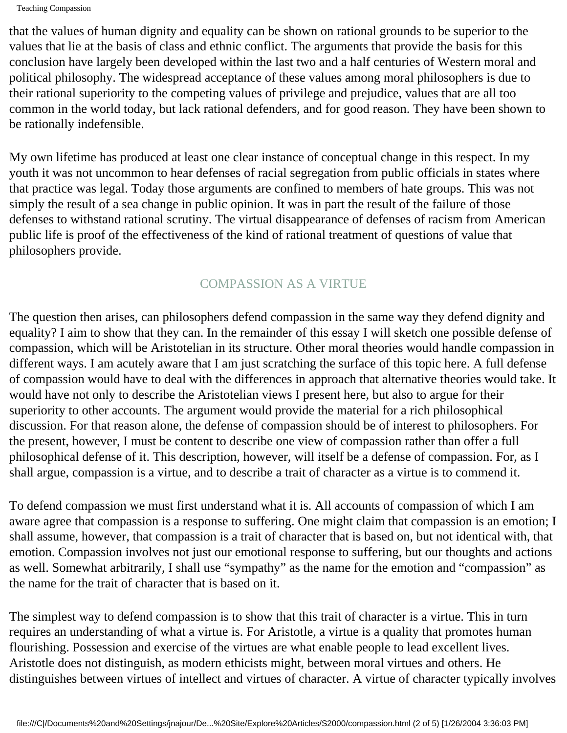that the values of human dignity and equality can be shown on rational grounds to be superior to the values that lie at the basis of class and ethnic conflict. The arguments that provide the basis for this conclusion have largely been developed within the last two and a half centuries of Western moral and political philosophy. The widespread acceptance of these values among moral philosophers is due to their rational superiority to the competing values of privilege and prejudice, values that are all too common in the world today, but lack rational defenders, and for good reason. They have been shown to be rationally indefensible.

My own lifetime has produced at least one clear instance of conceptual change in this respect. In my youth it was not uncommon to hear defenses of racial segregation from public officials in states where that practice was legal. Today those arguments are confined to members of hate groups. This was not simply the result of a sea change in public opinion. It was in part the result of the failure of those defenses to withstand rational scrutiny. The virtual disappearance of defenses of racism from American public life is proof of the effectiveness of the kind of rational treatment of questions of value that philosophers provide.

### COMPASSION AS A VIRTUE

The question then arises, can philosophers defend compassion in the same way they defend dignity and equality? I aim to show that they can. In the remainder of this essay I will sketch one possible defense of compassion, which will be Aristotelian in its structure. Other moral theories would handle compassion in different ways. I am acutely aware that I am just scratching the surface of this topic here. A full defense of compassion would have to deal with the differences in approach that alternative theories would take. It would have not only to describe the Aristotelian views I present here, but also to argue for their superiority to other accounts. The argument would provide the material for a rich philosophical discussion. For that reason alone, the defense of compassion should be of interest to philosophers. For the present, however, I must be content to describe one view of compassion rather than offer a full philosophical defense of it. This description, however, will itself be a defense of compassion. For, as I shall argue, compassion is a virtue, and to describe a trait of character as a virtue is to commend it.

To defend compassion we must first understand what it is. All accounts of compassion of which I am aware agree that compassion is a response to suffering. One might claim that compassion is an emotion; I shall assume, however, that compassion is a trait of character that is based on, but not identical with, that emotion. Compassion involves not just our emotional response to suffering, but our thoughts and actions as well. Somewhat arbitrarily, I shall use "sympathy" as the name for the emotion and "compassion" as the name for the trait of character that is based on it.

The simplest way to defend compassion is to show that this trait of character is a virtue. This in turn requires an understanding of what a virtue is. For Aristotle, a virtue is a quality that promotes human flourishing. Possession and exercise of the virtues are what enable people to lead excellent lives. Aristotle does not distinguish, as modern ethicists might, between moral virtues and others. He distinguishes between virtues of intellect and virtues of character. A virtue of character typically involves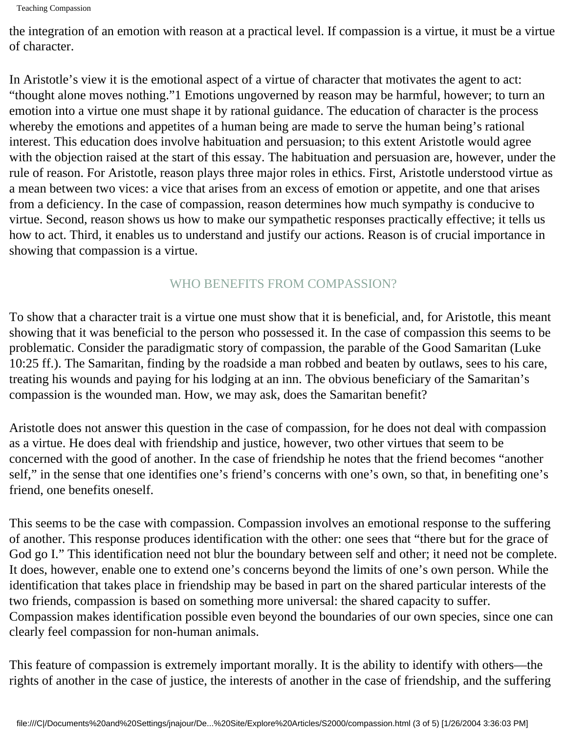the integration of an emotion with reason at a practical level. If compassion is a virtue, it must be a virtue of character.

In Aristotle's view it is the emotional aspect of a virtue of character that motivates the agent to act: "thought alone moves nothing."1 Emotions ungoverned by reason may be harmful, however; to turn an emotion into a virtue one must shape it by rational guidance. The education of character is the process whereby the emotions and appetites of a human being are made to serve the human being's rational interest. This education does involve habituation and persuasion; to this extent Aristotle would agree with the objection raised at the start of this essay. The habituation and persuasion are, however, under the rule of reason. For Aristotle, reason plays three major roles in ethics. First, Aristotle understood virtue as a mean between two vices: a vice that arises from an excess of emotion or appetite, and one that arises from a deficiency. In the case of compassion, reason determines how much sympathy is conducive to virtue. Second, reason shows us how to make our sympathetic responses practically effective; it tells us how to act. Third, it enables us to understand and justify our actions. Reason is of crucial importance in showing that compassion is a virtue.

### WHO BENEFITS FROM COMPASSION?

To show that a character trait is a virtue one must show that it is beneficial, and, for Aristotle, this meant showing that it was beneficial to the person who possessed it. In the case of compassion this seems to be problematic. Consider the paradigmatic story of compassion, the parable of the Good Samaritan (Luke 10:25 ff.). The Samaritan, finding by the roadside a man robbed and beaten by outlaws, sees to his care, treating his wounds and paying for his lodging at an inn. The obvious beneficiary of the Samaritan's compassion is the wounded man. How, we may ask, does the Samaritan benefit?

Aristotle does not answer this question in the case of compassion, for he does not deal with compassion as a virtue. He does deal with friendship and justice, however, two other virtues that seem to be concerned with the good of another. In the case of friendship he notes that the friend becomes "another self," in the sense that one identifies one's friend's concerns with one's own, so that, in benefiting one's friend, one benefits oneself.

This seems to be the case with compassion. Compassion involves an emotional response to the suffering of another. This response produces identification with the other: one sees that "there but for the grace of God go I." This identification need not blur the boundary between self and other; it need not be complete. It does, however, enable one to extend one's concerns beyond the limits of one's own person. While the identification that takes place in friendship may be based in part on the shared particular interests of the two friends, compassion is based on something more universal: the shared capacity to suffer. Compassion makes identification possible even beyond the boundaries of our own species, since one can clearly feel compassion for non-human animals.

This feature of compassion is extremely important morally. It is the ability to identify with others—the rights of another in the case of justice, the interests of another in the case of friendship, and the suffering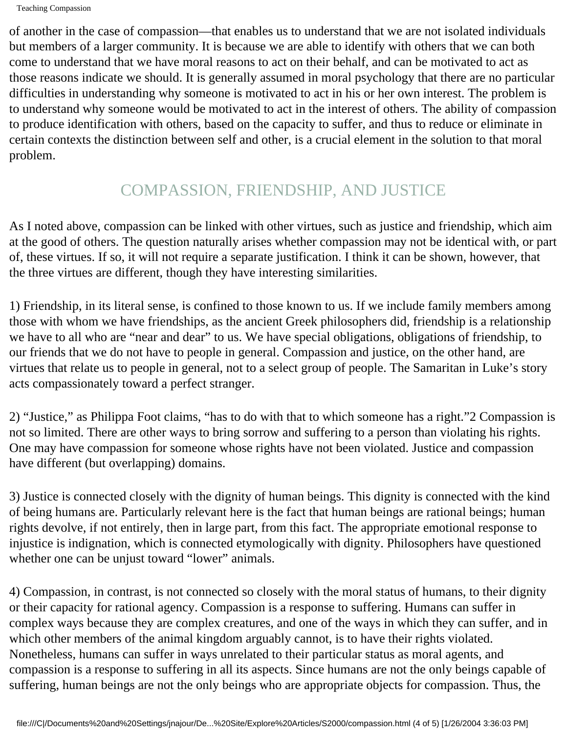of another in the case of compassion—that enables us to understand that we are not isolated individuals but members of a larger community. It is because we are able to identify with others that we can both come to understand that we have moral reasons to act on their behalf, and can be motivated to act as those reasons indicate we should. It is generally assumed in moral psychology that there are no particular difficulties in understanding why someone is motivated to act in his or her own interest. The problem is to understand why someone would be motivated to act in the interest of others. The ability of compassion to produce identification with others, based on the capacity to suffer, and thus to reduce or eliminate in certain contexts the distinction between self and other, is a crucial element in the solution to that moral problem.

# COMPASSION, FRIENDSHIP, AND JUSTICE

As I noted above, compassion can be linked with other virtues, such as justice and friendship, which aim at the good of others. The question naturally arises whether compassion may not be identical with, or part of, these virtues. If so, it will not require a separate justification. I think it can be shown, however, that the three virtues are different, though they have interesting similarities.

1) Friendship, in its literal sense, is confined to those known to us. If we include family members among those with whom we have friendships, as the ancient Greek philosophers did, friendship is a relationship we have to all who are "near and dear" to us. We have special obligations, obligations of friendship, to our friends that we do not have to people in general. Compassion and justice, on the other hand, are virtues that relate us to people in general, not to a select group of people. The Samaritan in Luke's story acts compassionately toward a perfect stranger.

2) "Justice," as Philippa Foot claims, "has to do with that to which someone has a right."2 Compassion is not so limited. There are other ways to bring sorrow and suffering to a person than violating his rights. One may have compassion for someone whose rights have not been violated. Justice and compassion have different (but overlapping) domains.

3) Justice is connected closely with the dignity of human beings. This dignity is connected with the kind of being humans are. Particularly relevant here is the fact that human beings are rational beings; human rights devolve, if not entirely, then in large part, from this fact. The appropriate emotional response to injustice is indignation, which is connected etymologically with dignity. Philosophers have questioned whether one can be unjust toward "lower" animals.

4) Compassion, in contrast, is not connected so closely with the moral status of humans, to their dignity or their capacity for rational agency. Compassion is a response to suffering. Humans can suffer in complex ways because they are complex creatures, and one of the ways in which they can suffer, and in which other members of the animal kingdom arguably cannot, is to have their rights violated. Nonetheless, humans can suffer in ways unrelated to their particular status as moral agents, and compassion is a response to suffering in all its aspects. Since humans are not the only beings capable of suffering, human beings are not the only beings who are appropriate objects for compassion. Thus, the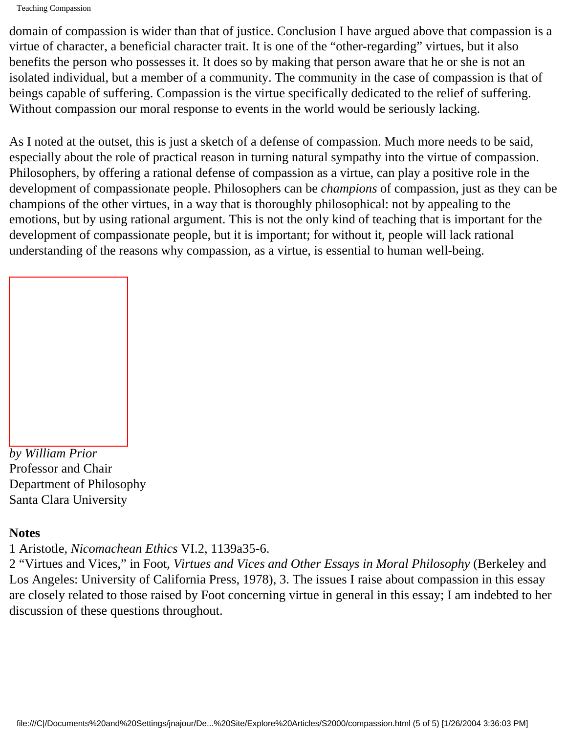domain of compassion is wider than that of justice. Conclusion I have argued above that compassion is a virtue of character, a beneficial character trait. It is one of the "other-regarding" virtues, but it also benefits the person who possesses it. It does so by making that person aware that he or she is not an isolated individual, but a member of a community. The community in the case of compassion is that of beings capable of suffering. Compassion is the virtue specifically dedicated to the relief of suffering. Without compassion our moral response to events in the world would be seriously lacking.

As I noted at the outset, this is just a sketch of a defense of compassion. Much more needs to be said, especially about the role of practical reason in turning natural sympathy into the virtue of compassion. Philosophers, by offering a rational defense of compassion as a virtue, can play a positive role in the development of compassionate people. Philosophers can be *champions* of compassion, just as they can be champions of the other virtues, in a way that is thoroughly philosophical: not by appealing to the emotions, but by using rational argument. This is not the only kind of teaching that is important for the development of compassionate people, but it is important; for without it, people will lack rational understanding of the reasons why compassion, as a virtue, is essential to human well-being.

*by William Prior* Professor and Chair Department of Philosophy Santa Clara University

### **Notes**

1 Aristotle, *Nicomachean Ethics* VI.2, 1139a35-6.

2 "Virtues and Vices," in Foot, *Virtues and Vices and Other Essays in Moral Philosophy* (Berkeley and Los Angeles: University of California Press, 1978), 3. The issues I raise about compassion in this essay are closely related to those raised by Foot concerning virtue in general in this essay; I am indebted to her discussion of these questions throughout.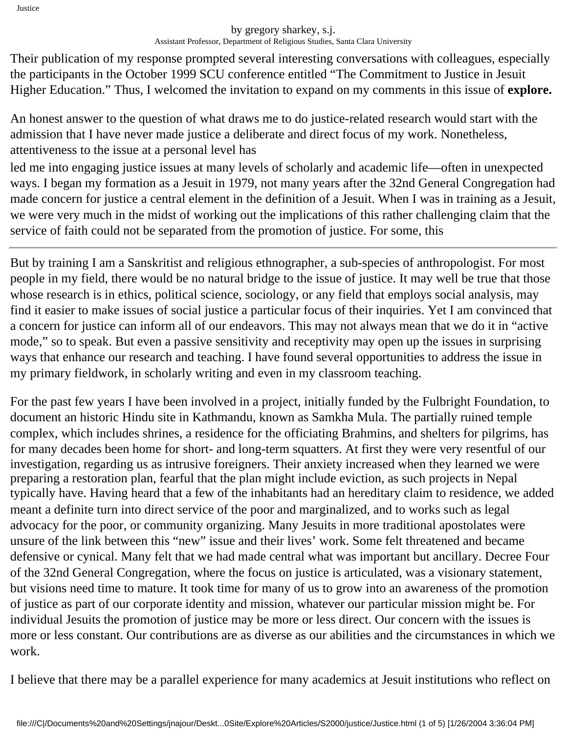#### by gregory sharkey, s.j. Assistant Professor, Department of Religious Studies, Santa Clara University

Their publication of my response prompted several interesting conversations with colleagues, especially the participants in the October 1999 SCU conference entitled "The Commitment to Justice in Jesuit Higher Education." Thus, I welcomed the invitation to expand on my comments in this issue of **explore.**

An honest answer to the question of what draws me to do justice-related research would start with the admission that I have never made justice a deliberate and direct focus of my work. Nonetheless, attentiveness to the issue at a personal level has

led me into engaging justice issues at many levels of scholarly and academic life—often in unexpected ways. I began my formation as a Jesuit in 1979, not many years after the 32nd General Congregation had made concern for justice a central element in the definition of a Jesuit. When I was in training as a Jesuit, we were very much in the midst of working out the implications of this rather challenging claim that the service of faith could not be separated from the promotion of justice. For some, this

But by training I am a Sanskritist and religious ethnographer, a sub-species of anthropologist. For most people in my field, there would be no natural bridge to the issue of justice. It may well be true that those whose research is in ethics, political science, sociology, or any field that employs social analysis, may find it easier to make issues of social justice a particular focus of their inquiries. Yet I am convinced that a concern for justice can inform all of our endeavors. This may not always mean that we do it in "active mode," so to speak. But even a passive sensitivity and receptivity may open up the issues in surprising ways that enhance our research and teaching. I have found several opportunities to address the issue in my primary fieldwork, in scholarly writing and even in my classroom teaching.

For the past few years I have been involved in a project, initially funded by the Fulbright Foundation, to document an historic Hindu site in Kathmandu, known as Samkha Mula. The partially ruined temple complex, which includes shrines, a residence for the officiating Brahmins, and shelters for pilgrims, has for many decades been home for short- and long-term squatters. At first they were very resentful of our investigation, regarding us as intrusive foreigners. Their anxiety increased when they learned we were preparing a restoration plan, fearful that the plan might include eviction, as such projects in Nepal typically have. Having heard that a few of the inhabitants had an hereditary claim to residence, we added meant a definite turn into direct service of the poor and marginalized, and to works such as legal advocacy for the poor, or community organizing. Many Jesuits in more traditional apostolates were unsure of the link between this "new" issue and their lives' work. Some felt threatened and became defensive or cynical. Many felt that we had made central what was important but ancillary. Decree Four of the 32nd General Congregation, where the focus on justice is articulated, was a visionary statement, but visions need time to mature. It took time for many of us to grow into an awareness of the promotion of justice as part of our corporate identity and mission, whatever our particular mission might be. For individual Jesuits the promotion of justice may be more or less direct. Our concern with the issues is more or less constant. Our contributions are as diverse as our abilities and the circumstances in which we work.

I believe that there may be a parallel experience for many academics at Jesuit institutions who reflect on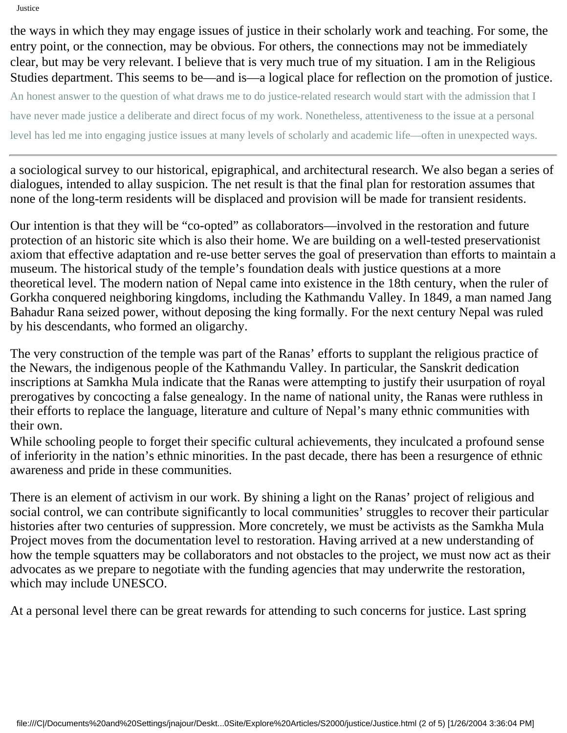the ways in which they may engage issues of justice in their scholarly work and teaching. For some, the entry point, or the connection, may be obvious. For others, the connections may not be immediately clear, but may be very relevant. I believe that is very much true of my situation. I am in the Religious Studies department. This seems to be—and is—a logical place for reflection on the promotion of justice. An honest answer to the question of what draws me to do justice-related research would start with the admission that I

have never made justice a deliberate and direct focus of my work. Nonetheless, attentiveness to the issue at a personal

level has led me into engaging justice issues at many levels of scholarly and academic life—often in unexpected ways.

a sociological survey to our historical, epigraphical, and architectural research. We also began a series of dialogues, intended to allay suspicion. The net result is that the final plan for restoration assumes that none of the long-term residents will be displaced and provision will be made for transient residents.

Our intention is that they will be "co-opted" as collaborators—involved in the restoration and future protection of an historic site which is also their home. We are building on a well-tested preservationist axiom that effective adaptation and re-use better serves the goal of preservation than efforts to maintain a museum. The historical study of the temple's foundation deals with justice questions at a more theoretical level. The modern nation of Nepal came into existence in the 18th century, when the ruler of Gorkha conquered neighboring kingdoms, including the Kathmandu Valley. In 1849, a man named Jang Bahadur Rana seized power, without deposing the king formally. For the next century Nepal was ruled by his descendants, who formed an oligarchy.

The very construction of the temple was part of the Ranas' efforts to supplant the religious practice of the Newars, the indigenous people of the Kathmandu Valley. In particular, the Sanskrit dedication inscriptions at Samkha Mula indicate that the Ranas were attempting to justify their usurpation of royal prerogatives by concocting a false genealogy. In the name of national unity, the Ranas were ruthless in their efforts to replace the language, literature and culture of Nepal's many ethnic communities with their own.

While schooling people to forget their specific cultural achievements, they inculcated a profound sense of inferiority in the nation's ethnic minorities. In the past decade, there has been a resurgence of ethnic awareness and pride in these communities.

There is an element of activism in our work. By shining a light on the Ranas' project of religious and social control, we can contribute significantly to local communities' struggles to recover their particular histories after two centuries of suppression. More concretely, we must be activists as the Samkha Mula Project moves from the documentation level to restoration. Having arrived at a new understanding of how the temple squatters may be collaborators and not obstacles to the project, we must now act as their advocates as we prepare to negotiate with the funding agencies that may underwrite the restoration, which may include UNESCO.

At a personal level there can be great rewards for attending to such concerns for justice. Last spring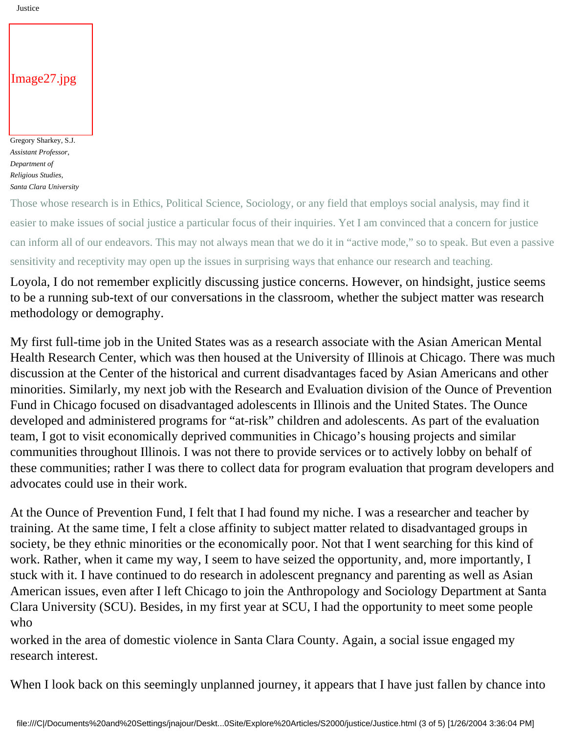#### Image27.jpg

Gregory Sharkey, S.J. *Assistant Professor, Department of Religious Studies, Santa Clara University*

Those whose research is in Ethics, Political Science, Sociology, or any field that employs social analysis, may find it easier to make issues of social justice a particular focus of their inquiries. Yet I am convinced that a concern for justice can inform all of our endeavors. This may not always mean that we do it in "active mode," so to speak. But even a passive sensitivity and receptivity may open up the issues in surprising ways that enhance our research and teaching.

Loyola, I do not remember explicitly discussing justice concerns. However, on hindsight, justice seems to be a running sub-text of our conversations in the classroom, whether the subject matter was research methodology or demography.

My first full-time job in the United States was as a research associate with the Asian American Mental Health Research Center, which was then housed at the University of Illinois at Chicago. There was much discussion at the Center of the historical and current disadvantages faced by Asian Americans and other minorities. Similarly, my next job with the Research and Evaluation division of the Ounce of Prevention Fund in Chicago focused on disadvantaged adolescents in Illinois and the United States. The Ounce developed and administered programs for "at-risk" children and adolescents. As part of the evaluation team, I got to visit economically deprived communities in Chicago's housing projects and similar communities throughout Illinois. I was not there to provide services or to actively lobby on behalf of these communities; rather I was there to collect data for program evaluation that program developers and advocates could use in their work.

At the Ounce of Prevention Fund, I felt that I had found my niche. I was a researcher and teacher by training. At the same time, I felt a close affinity to subject matter related to disadvantaged groups in society, be they ethnic minorities or the economically poor. Not that I went searching for this kind of work. Rather, when it came my way, I seem to have seized the opportunity, and, more importantly, I stuck with it. I have continued to do research in adolescent pregnancy and parenting as well as Asian American issues, even after I left Chicago to join the Anthropology and Sociology Department at Santa Clara University (SCU). Besides, in my first year at SCU, I had the opportunity to meet some people who

worked in the area of domestic violence in Santa Clara County. Again, a social issue engaged my research interest.

When I look back on this seemingly unplanned journey, it appears that I have just fallen by chance into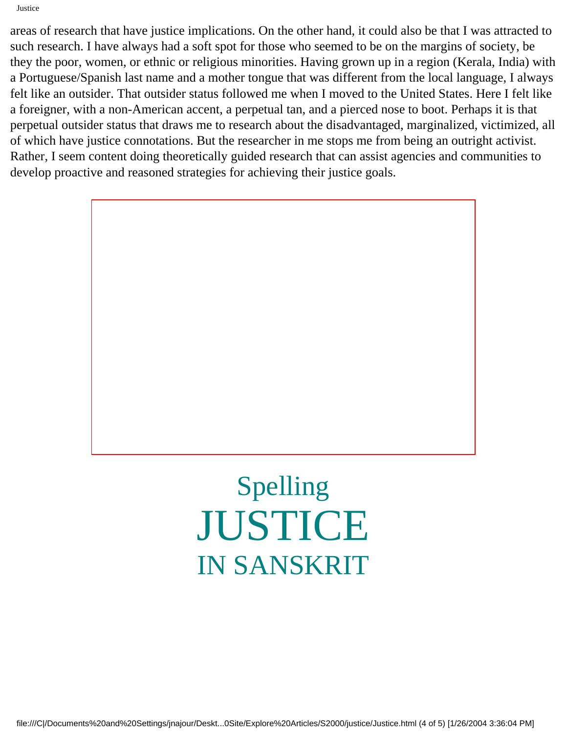areas of research that have justice implications. On the other hand, it could also be that I was attracted to such research. I have always had a soft spot for those who seemed to be on the margins of society, be they the poor, women, or ethnic or religious minorities. Having grown up in a region (Kerala, India) with a Portuguese/Spanish last name and a mother tongue that was different from the local language, I always felt like an outsider. That outsider status followed me when I moved to the United States. Here I felt like a foreigner, with a non-American accent, a perpetual tan, and a pierced nose to boot. Perhaps it is that perpetual outsider status that draws me to research about the disadvantaged, marginalized, victimized, all of which have justice connotations. But the researcher in me stops me from being an outright activist. Rather, I seem content doing theoretically guided research that can assist agencies and communities to develop proactive and reasoned strategies for achieving their justice goals.

# Spelling JUSTICE IN SANSKRIT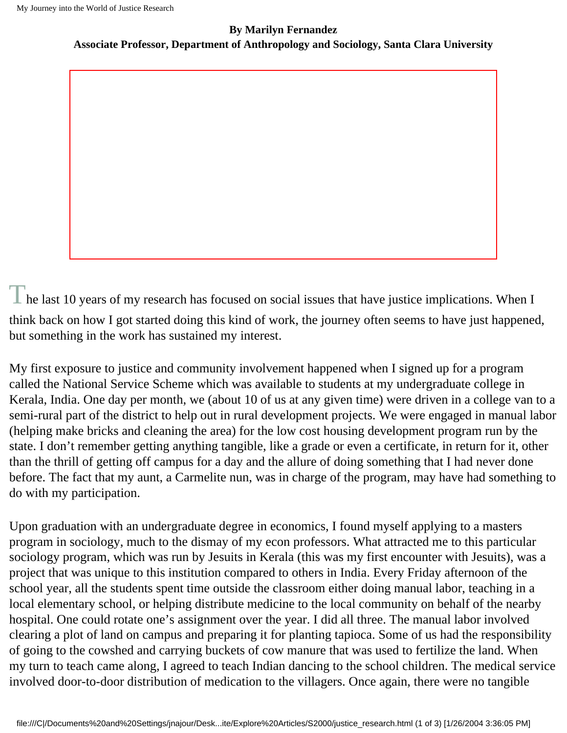#### **By Marilyn Fernandez**

**Associate Professor, Department of Anthropology and Sociology, Santa Clara University**

 $\Gamma$  he last 10 years of my research has focused on social issues that have justice implications. When I think back on how I got started doing this kind of work, the journey often seems to have just happened, but something in the work has sustained my interest.

My first exposure to justice and community involvement happened when I signed up for a program called the National Service Scheme which was available to students at my undergraduate college in Kerala, India. One day per month, we (about 10 of us at any given time) were driven in a college van to a semi-rural part of the district to help out in rural development projects. We were engaged in manual labor (helping make bricks and cleaning the area) for the low cost housing development program run by the state. I don't remember getting anything tangible, like a grade or even a certificate, in return for it, other than the thrill of getting off campus for a day and the allure of doing something that I had never done before. The fact that my aunt, a Carmelite nun, was in charge of the program, may have had something to do with my participation.

Upon graduation with an undergraduate degree in economics, I found myself applying to a masters program in sociology, much to the dismay of my econ professors. What attracted me to this particular sociology program, which was run by Jesuits in Kerala (this was my first encounter with Jesuits), was a project that was unique to this institution compared to others in India. Every Friday afternoon of the school year, all the students spent time outside the classroom either doing manual labor, teaching in a local elementary school, or helping distribute medicine to the local community on behalf of the nearby hospital. One could rotate one's assignment over the year. I did all three. The manual labor involved clearing a plot of land on campus and preparing it for planting tapioca. Some of us had the responsibility of going to the cowshed and carrying buckets of cow manure that was used to fertilize the land. When my turn to teach came along, I agreed to teach Indian dancing to the school children. The medical service involved door-to-door distribution of medication to the villagers. Once again, there were no tangible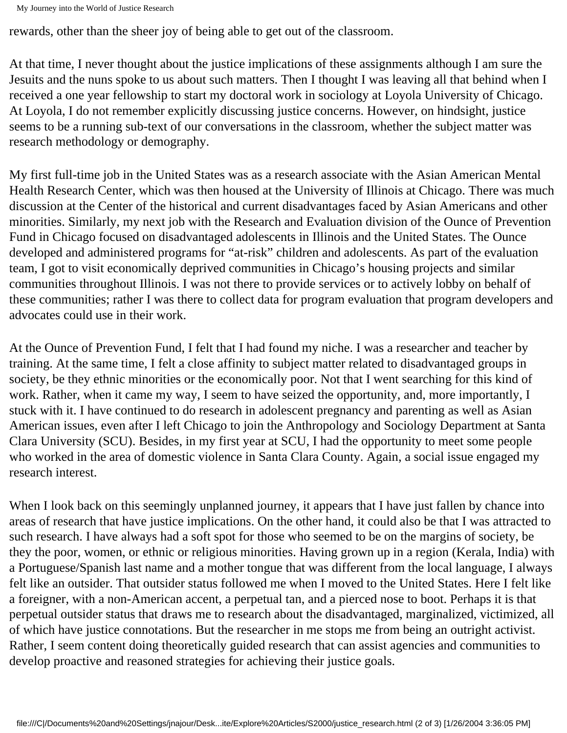rewards, other than the sheer joy of being able to get out of the classroom.

At that time, I never thought about the justice implications of these assignments although I am sure the Jesuits and the nuns spoke to us about such matters. Then I thought I was leaving all that behind when I received a one year fellowship to start my doctoral work in sociology at Loyola University of Chicago. At Loyola, I do not remember explicitly discussing justice concerns. However, on hindsight, justice seems to be a running sub-text of our conversations in the classroom, whether the subject matter was research methodology or demography.

My first full-time job in the United States was as a research associate with the Asian American Mental Health Research Center, which was then housed at the University of Illinois at Chicago. There was much discussion at the Center of the historical and current disadvantages faced by Asian Americans and other minorities. Similarly, my next job with the Research and Evaluation division of the Ounce of Prevention Fund in Chicago focused on disadvantaged adolescents in Illinois and the United States. The Ounce developed and administered programs for "at-risk" children and adolescents. As part of the evaluation team, I got to visit economically deprived communities in Chicago's housing projects and similar communities throughout Illinois. I was not there to provide services or to actively lobby on behalf of these communities; rather I was there to collect data for program evaluation that program developers and advocates could use in their work.

At the Ounce of Prevention Fund, I felt that I had found my niche. I was a researcher and teacher by training. At the same time, I felt a close affinity to subject matter related to disadvantaged groups in society, be they ethnic minorities or the economically poor. Not that I went searching for this kind of work. Rather, when it came my way, I seem to have seized the opportunity, and, more importantly, I stuck with it. I have continued to do research in adolescent pregnancy and parenting as well as Asian American issues, even after I left Chicago to join the Anthropology and Sociology Department at Santa Clara University (SCU). Besides, in my first year at SCU, I had the opportunity to meet some people who worked in the area of domestic violence in Santa Clara County. Again, a social issue engaged my research interest.

When I look back on this seemingly unplanned journey, it appears that I have just fallen by chance into areas of research that have justice implications. On the other hand, it could also be that I was attracted to such research. I have always had a soft spot for those who seemed to be on the margins of society, be they the poor, women, or ethnic or religious minorities. Having grown up in a region (Kerala, India) with a Portuguese/Spanish last name and a mother tongue that was different from the local language, I always felt like an outsider. That outsider status followed me when I moved to the United States. Here I felt like a foreigner, with a non-American accent, a perpetual tan, and a pierced nose to boot. Perhaps it is that perpetual outsider status that draws me to research about the disadvantaged, marginalized, victimized, all of which have justice connotations. But the researcher in me stops me from being an outright activist. Rather, I seem content doing theoretically guided research that can assist agencies and communities to develop proactive and reasoned strategies for achieving their justice goals.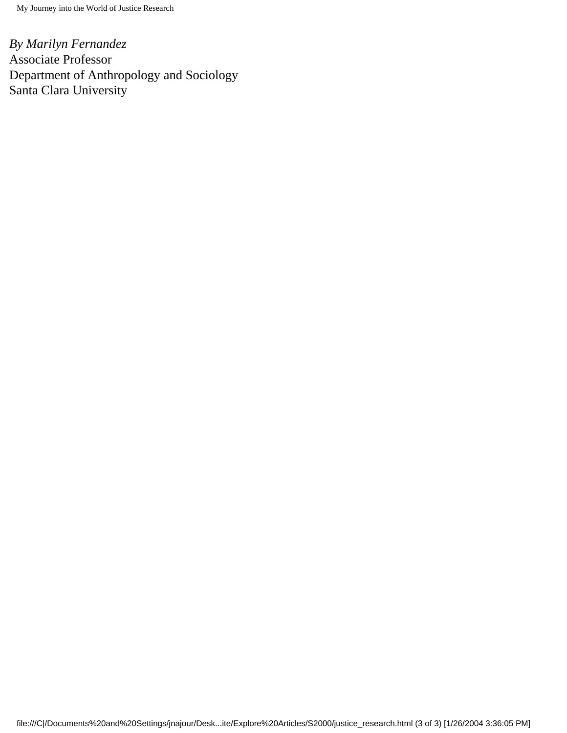*By Marilyn Fernandez* Associate Professor Department of Anthropology and Sociology Santa Clara University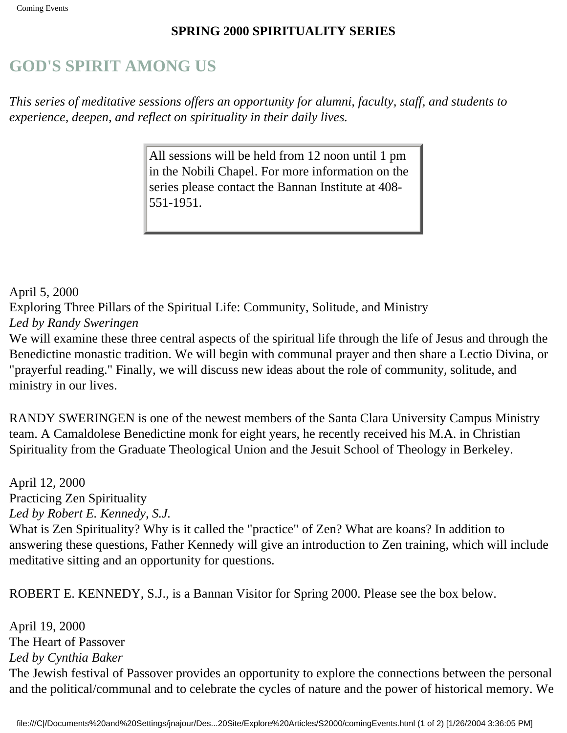#### **SPRING 2000 SPIRITUALITY SERIES**

# **GOD'S SPIRIT AMONG US**

*This series of meditative sessions offers an opportunity for alumni, faculty, staff, and students to experience, deepen, and reflect on spirituality in their daily lives.* 

> All sessions will be held from 12 noon until 1 pm in the Nobili Chapel. For more information on the series please contact the Bannan Institute at 408- 551-1951.

April 5, 2000

Exploring Three Pillars of the Spiritual Life: Community, Solitude, and Ministry

#### *Led by Randy Sweringen*

We will examine these three central aspects of the spiritual life through the life of Jesus and through the Benedictine monastic tradition. We will begin with communal prayer and then share a Lectio Divina, or "prayerful reading." Finally, we will discuss new ideas about the role of community, solitude, and ministry in our lives.

RANDY SWERINGEN is one of the newest members of the Santa Clara University Campus Ministry team. A Camaldolese Benedictine monk for eight years, he recently received his M.A. in Christian Spirituality from the Graduate Theological Union and the Jesuit School of Theology in Berkeley.

April 12, 2000 Practicing Zen Spirituality *Led by Robert E. Kennedy, S.J.* What is Zen Spirituality? Why is it called the "practice" of Zen? What are koans? In addition to answering these questions, Father Kennedy will give an introduction to Zen training, which will include meditative sitting and an opportunity for questions.

ROBERT E. KENNEDY, S.J., is a Bannan Visitor for Spring 2000. Please see the box below.

April 19, 2000 The Heart of Passover *Led by Cynthia Baker* The Jewish festival of Passover provides an opportunity to explore the connections between the personal and the political/communal and to celebrate the cycles of nature and the power of historical memory. We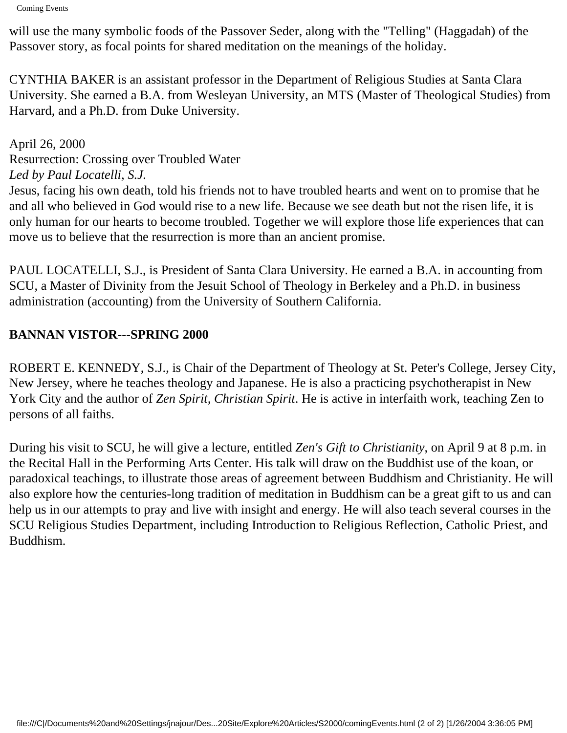will use the many symbolic foods of the Passover Seder, along with the "Telling" (Haggadah) of the Passover story, as focal points for shared meditation on the meanings of the holiday.

CYNTHIA BAKER is an assistant professor in the Department of Religious Studies at Santa Clara University. She earned a B.A. from Wesleyan University, an MTS (Master of Theological Studies) from Harvard, and a Ph.D. from Duke University.

April 26, 2000 Resurrection: Crossing over Troubled Water *Led by Paul Locatelli, S.J.*

Jesus, facing his own death, told his friends not to have troubled hearts and went on to promise that he and all who believed in God would rise to a new life. Because we see death but not the risen life, it is only human for our hearts to become troubled. Together we will explore those life experiences that can move us to believe that the resurrection is more than an ancient promise.

PAUL LOCATELLI, S.J., is President of Santa Clara University. He earned a B.A. in accounting from SCU, a Master of Divinity from the Jesuit School of Theology in Berkeley and a Ph.D. in business administration (accounting) from the University of Southern California.

### **BANNAN VISTOR---SPRING 2000**

ROBERT E. KENNEDY, S.J., is Chair of the Department of Theology at St. Peter's College, Jersey City, New Jersey, where he teaches theology and Japanese. He is also a practicing psychotherapist in New York City and the author of *Zen Spirit, Christian Spirit*. He is active in interfaith work, teaching Zen to persons of all faiths.

During his visit to SCU, he will give a lecture, entitled *Zen's Gift to Christianity*, on April 9 at 8 p.m. in the Recital Hall in the Performing Arts Center. His talk will draw on the Buddhist use of the koan, or paradoxical teachings, to illustrate those areas of agreement between Buddhism and Christianity. He will also explore how the centuries-long tradition of meditation in Buddhism can be a great gift to us and can help us in our attempts to pray and live with insight and energy. He will also teach several courses in the SCU Religious Studies Department, including Introduction to Religious Reflection, Catholic Priest, and Buddhism.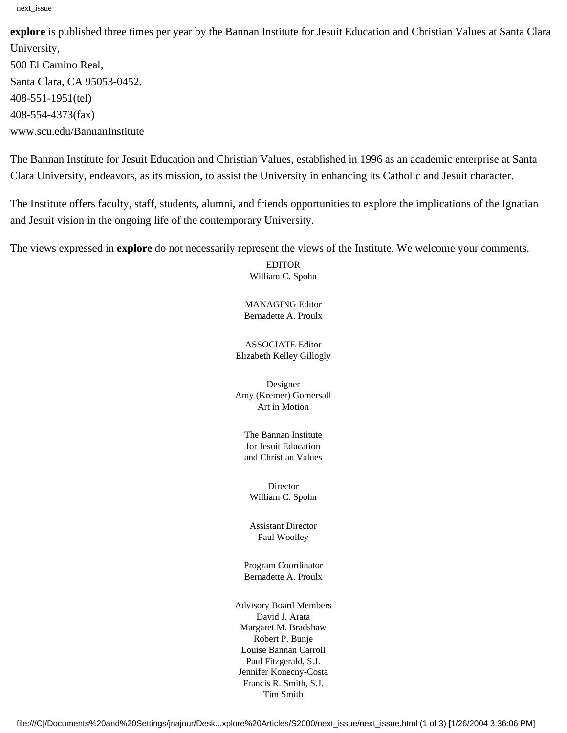**explore** is published three times per year by the Bannan Institute for Jesuit Education and Christian Values at Santa Clara University, 500 El Camino Real, Santa Clara, CA 95053-0452. 408-551-1951(tel) 408-554-4373(fax) www.scu.edu/BannanInstitute

The Bannan Institute for Jesuit Education and Christian Values, established in 1996 as an academic enterprise at Santa Clara University, endeavors, as its mission, to assist the University in enhancing its Catholic and Jesuit character.

The Institute offers faculty, staff, students, alumni, and friends opportunities to explore the implications of the Ignatian and Jesuit vision in the ongoing life of the contemporary University.

The views expressed in **explore** do not necessarily represent the views of the Institute. We welcome your comments.

EDITOR William C. Spohn

MANAGING Editor Bernadette A. Proulx

ASSOCIATE Editor Elizabeth Kelley Gillogly

Designer Amy (Kremer) Gomersall Art in Motion

The Bannan Institute for Jesuit Education and Christian Values

**Director** William C. Spohn

Assistant Director Paul Woolley

Program Coordinator Bernadette A. Proulx

Advisory Board Members David J. Arata Margaret M. Bradshaw Robert P. Bunje Louise Bannan Carroll Paul Fitzgerald, S.J. Jennifer Konecny-Costa Francis R. Smith, S.J. Tim Smith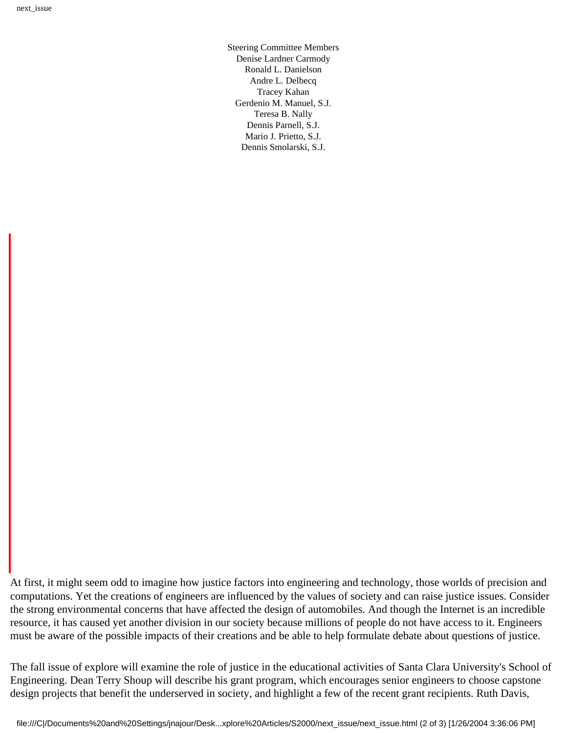Steering Committee Members Denise Lardner Carmody Ronald L. Danielson Andre L. Delbecq Tracey Kahan Gerdenio M. Manuel, S.J. Teresa B. Nally Dennis Parnell, S.J. Mario J. Prietto, S.J. Dennis Smolarski, S.J.

At first, it might seem odd to imagine how justice factors into engineering and technology, those worlds of precision and computations. Yet the creations of engineers are influenced by the values of society and can raise justice issues. Consider the strong environmental concerns that have affected the design of automobiles. And though the Internet is an incredible resource, it has caused yet another division in our society because millions of people do not have access to it. Engineers must be aware of the possible impacts of their creations and be able to help formulate debate about questions of justice.

The fall issue of explore will examine the role of justice in the educational activities of Santa Clara University's School of Engineering. Dean Terry Shoup will describe his grant program, which encourages senior engineers to choose capstone design projects that benefit the underserved in society, and highlight a few of the recent grant recipients. Ruth Davis,